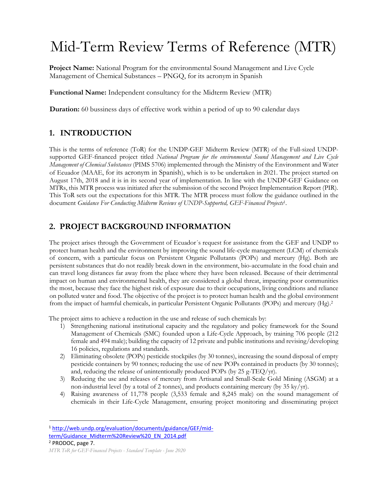# Mid-Term Review Terms of Reference (MTR)

**Project Name:** National Program for the environmental Sound Management and Live Cycle Management of Chemical Substances – PNGQ, for its acronym in Spanish

**Functional Name:** Independent consultancy for the Midterm Review (MTR)

**Duration:** 60 bussiness days of effective work within a period of up to 90 calendar days

# **1. INTRODUCTION**

This is the terms of reference (ToR) for the UNDP-GEF Midterm Review (MTR) of the Full-sized UNDPsupported GEF-financed project titled *National Program for the environmental Sound Management and Live Cycle Management of Chemical Substances* (PIMS 5706) implemented through the Ministry of the Environment and Water of Ecuador (MAAE, for its acronym in Spanish), which is to be undertaken in 2021. The project started on August 17th, 2018 and it is in its second year of implementation. In line with the UNDP-GEF Guidance on MTRs, this MTR process was initiated after the submission of the second Project Implementation Report (PIR). This ToR sets out the expectations for this MTR. The MTR process must follow the guidance outlined in the document *Guidance For Conducting Midterm Reviews of UNDP-Supported, GEF-Financed Projects*<sup>1</sup> .

# **2. PROJECT BACKGROUND INFORMATION**

The project arises through the Government of Ecuador´s request for assistance from the GEF and UNDP to protect human health and the environment by improving the sound life-cycle management (LCM) of chemicals of concern, with a particular focus on Persistent Organic Pollutants (POPs) and mercury (Hg). Both are persistent substances that do not readily break down in the environment, bio-accumulate in the food chain and can travel long distances far away from the place where they have been released. Because of their detrimental impact on human and environmental health, they are considered a global threat, impacting poor communities the most, because they face the highest risk of exposure due to their occupations, living conditions and reliance on polluted water and food. The objective of the project is to protect human health and the global environment from the impact of harmful chemicals, in particular Persistent Organic Pollutants (POPs) and mercury (Hg). 2

The project aims to achieve a reduction in the use and release of such chemicals by:

- 1) Strengthening national institutional capacity and the regulatory and policy framework for the Sound Management of Chemicals (SMC) founded upon a Life-Cycle Approach, by training 706 people (212 female and 494 male); building the capacity of 12 private and public institutions and revising/developing 16 policies, regulations and standards.
- 2) Eliminating obsolete (POPs) pesticide stockpiles (by 30 tonnes), increasing the sound disposal of empty pesticide containers by 90 tonnes; reducing the use of new POPs contained in products (by 30 tonnes); and, reducing the release of unintentionally produced POPs (by 25 g-TEQ/yr).
- 3) Reducing the use and releases of mercury from Artisanal and Small-Scale Gold Mining (ASGM) at a non-industrial level (by a total of 2 tonnes), and products containing mercury (by 35 ky/yr).
- 4) Raising awareness of 11,778 people (3,533 female and 8,245 male) on the sound management of chemicals in their Life-Cycle Management, ensuring project monitoring and disseminating project

<sup>1</sup> [http://web.undp.org/evaluation/documents/guidance/GEF/mid](http://web.undp.org/evaluation/documents/guidance/GEF/mid-term/Guidance_Midterm%20Review%20_EN_2014.pdf)[term/Guidance\\_Midterm%20Review%20\\_EN\\_2014.pdf](http://web.undp.org/evaluation/documents/guidance/GEF/mid-term/Guidance_Midterm%20Review%20_EN_2014.pdf) <sup>2</sup> PRODOC, page 7.

*MTR ToR for GEF-Financed Projects - Standard Template - June 2020*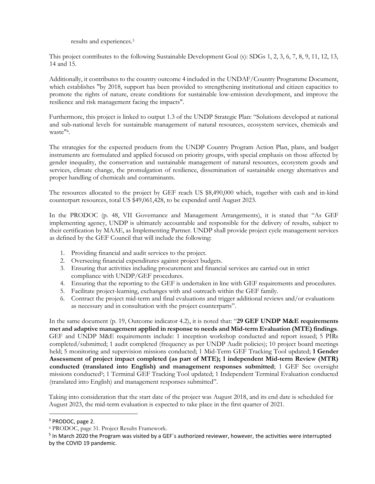results and experiences.<sup>3</sup>

This project contributes to the following Sustainable Development Goal (s): SDGs 1, 2, 3, 6, 7, 8, 9, 11, 12, 13, 14 and 15.

Additionally, it contributes to the country outcome 4 included in the UNDAF/Country Programme Document, which establishes "by 2018, support has been provided to strengthening institutional and citizen capacities to promote the rights of nature, create conditions for sustainable low-emission development, and improve the resilience and risk management facing the impacts".

Furthermore, this project is linked to output 1.3 of the UNDP Strategic Plan: "Solutions developed at national and sub-national levels for sustainable management of natural resources, ecosystem services, chemicals and waste" 4 .

The strategies for the expected products from the UNDP Country Program Action Plan, plans, and budget instruments are formulated and applied focused on priority groups, with special emphasis on those affected by gender inequality, the conservation and sustainable management of natural resources, ecosystem goods and services, climate change, the promulgation of resilience, dissemination of sustainable energy alternatives and proper handling of chemicals and contaminants.

The resources allocated to the project by GEF reach US \$8,490,000 which, together with cash and in-kind counterpart resources, total US \$49,061,428, to be expended until August 2023.

In the PRODOC (p. 48, VII Governance and Management Arrangements), it is stated that "As GEF implementing agency, UNDP is ultimately accountable and responsible for the delivery of results, subject to their certification by MAAE, as Implementing Partner. UNDP shall provide project cycle management services as defined by the GEF Council that will include the following:

- 1. Providing financial and audit services to the project.
- 2. Overseeing financial expenditures against project budgets.
- 3. Ensuring that activities including procurement and financial services are carried out in strict compliance with UNDP/GEF procedures.
- 4. Ensuring that the reporting to the GEF is undertaken in line with GEF requirements and procedures.
- 5. Facilitate project-learning, exchanges with and outreach within the GEF family.
- 6. Contract the project mid-term and final evaluations and trigger additional reviews and/or evaluations as necessary and in consultation with the project counterparts".

In the same document (p. 19, Outcome indicator 4.2), it is noted that: "**29 GEF UNDP M&E requirements met and adaptive management applied in response to needs and Mid-term Evaluation (MTE) findings**. GEF and UNDP M&E requirements include: 1 inception workshop conducted and report issued; 5 PIRs completed/submitted; 1 audit completed (frequency as per UNDP Audit policies); 10 project board meetings held; 5 monitoring and supervision missions conducted; 1 Mid-Term GEF Tracking Tool updated; **1 Gender Assessment of project impact completed (as part of MTE); 1 independent Mid-term Review (MTR) conducted (translated into English) and management responses submitted**; 1 GEF Sec oversight missions conducted<sup>5</sup>; 1 Terminal GEF Tracking Tool updated; 1 Independent Terminal Evaluation conducted (translated into English) and management responses submitted".

Taking into consideration that the start date of the project was August 2018, and its end date is scheduled for August 2023, the mid-term evaluation is expected to take place in the first quarter of 2021.

<sup>3</sup> PRODOC, page 2.

<sup>4</sup> PRODOC, page 31. Project Results Framework.

<sup>&</sup>lt;sup>5</sup> In March 2020 the Program was visited by a GEF's authorized reviewer, however, the activities were interrupted by the COVID 19 pandemic.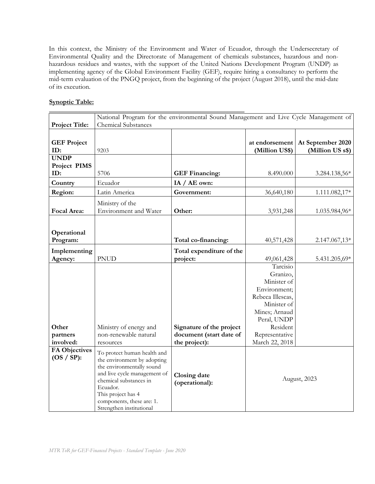In this context, the Ministry of the Environment and Water of Ecuador, through the Undersecretary of Environmental Quality and the Directorate of Management of chemicals substances, hazardous and nonhazardous residues and wastes, with the support of the United Nations Development Program (UNDP) as implementing agency of the Global Environment Facility (GEF), require hiring a consultancy to perform the mid-term evaluation of the PNGQ project, from the beginning of the project (August 2018), until the mid-date of its execution.

### **Synoptic Table:**

|                                     | National Program for the environmental Sound Management and Live Cycle Management of<br><b>Chemical Substances</b>                                                                                                                           |                                       |                                  |                                       |
|-------------------------------------|----------------------------------------------------------------------------------------------------------------------------------------------------------------------------------------------------------------------------------------------|---------------------------------------|----------------------------------|---------------------------------------|
| <b>Project Title:</b>               |                                                                                                                                                                                                                                              |                                       |                                  |                                       |
| <b>GEF Project</b><br>ID:           | 9203                                                                                                                                                                                                                                         |                                       | at endorsement<br>(Million US\$) | At September 2020<br>(Million US s\$) |
| <b>UNDP</b>                         |                                                                                                                                                                                                                                              |                                       |                                  |                                       |
| Project PIMS                        |                                                                                                                                                                                                                                              |                                       |                                  |                                       |
| ID:                                 | 5706                                                                                                                                                                                                                                         | <b>GEF Financing:</b>                 | 8.490.000                        | 3.284.138,56*                         |
| Country                             | Ecuador                                                                                                                                                                                                                                      | IA / AE own:                          |                                  |                                       |
| Region:                             | Latin America                                                                                                                                                                                                                                | Government:                           | 36,640,180                       | 1.111.082,17*                         |
| Focal Area:                         | Ministry of the<br>Environment and Water                                                                                                                                                                                                     | Other:                                | 3,931,248                        | 1.035.984,96*                         |
|                                     |                                                                                                                                                                                                                                              |                                       |                                  |                                       |
|                                     |                                                                                                                                                                                                                                              |                                       |                                  |                                       |
| Operational<br>Program:             |                                                                                                                                                                                                                                              | Total co-financing:                   | 40,571,428                       | 2.147.067,13*                         |
|                                     |                                                                                                                                                                                                                                              |                                       |                                  |                                       |
| Implementing                        |                                                                                                                                                                                                                                              | Total expenditure of the              |                                  |                                       |
| Agency:                             | <b>PNUD</b>                                                                                                                                                                                                                                  | project:                              | 49,061,428                       | 5.431.205,69*                         |
|                                     |                                                                                                                                                                                                                                              |                                       | Tarcisio                         |                                       |
|                                     |                                                                                                                                                                                                                                              |                                       | Granizo,<br>Minister of          |                                       |
|                                     |                                                                                                                                                                                                                                              |                                       | Environment;                     |                                       |
|                                     |                                                                                                                                                                                                                                              |                                       | Rebeca Illescas,                 |                                       |
|                                     |                                                                                                                                                                                                                                              |                                       | Minister of                      |                                       |
|                                     |                                                                                                                                                                                                                                              |                                       | Mines; Arnaud                    |                                       |
|                                     |                                                                                                                                                                                                                                              |                                       | Peral, UNDP                      |                                       |
| Other                               | Ministry of energy and                                                                                                                                                                                                                       | Signature of the project              | Resident                         |                                       |
| partners                            | non-renewable natural                                                                                                                                                                                                                        | document (start date of               | Representative                   |                                       |
| involved:                           | resources                                                                                                                                                                                                                                    | the project):                         | March 22, 2018                   |                                       |
| <b>FA Objectives</b><br>$OS / SP$ : | To protect human health and<br>the environment by adopting<br>the environmentally sound<br>and live cycle management of<br>chemical substances in<br>Ecuador.<br>This project has 4<br>components, these are: 1.<br>Strengthen institutional | <b>Closing date</b><br>(operational): | August, 2023                     |                                       |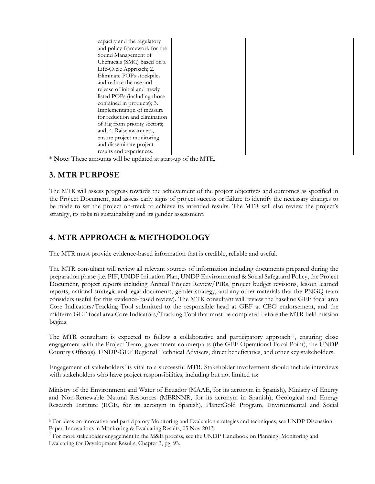| capacity and the regulatory   |  |
|-------------------------------|--|
| and policy framework for the  |  |
| Sound Management of           |  |
| Chemicals (SMC) based on a    |  |
| Life-Cycle Approach; 2.       |  |
| Eliminate POPs stockpiles     |  |
| and reduce the use and        |  |
| release of initial and newly  |  |
| listed POPs (including those  |  |
| contained in products); 3.    |  |
| Implementation of measure     |  |
| for reduction and elimination |  |
| of Hg from priority sectors;  |  |
| and, 4. Raise awareness,      |  |
| ensure project monitoring     |  |
| and disseminate project       |  |
| results and experiences.      |  |

\* **Note**: These amounts will be updated at start-up of the MTE.

# **3. MTR PURPOSE**

The MTR will assess progress towards the achievement of the project objectives and outcomes as specified in the Project Document, and assess early signs of project success or failure to identify the necessary changes to be made to set the project on-track to achieve its intended results. The MTR will also review the project's strategy, its risks to sustainability and its gender assessment.

# **4. MTR APPROACH & METHODOLOGY**

The MTR must provide evidence-based information that is credible, reliable and useful.

The MTR consultant will review all relevant sources of information including documents prepared during the preparation phase (i.e. PIF, UNDP Initiation Plan, UNDP Environmental & Social Safeguard Policy, the Project Document, project reports including Annual Project Review/PIRs, project budget revisions, lesson learned reports, national strategic and legal documents, gender strategy, and any other materials that the PNGQ team considers useful for this evidence-based review). The MTR consultant will review the baseline GEF focal area Core Indicators/Tracking Tool submitted to the responsible head at GEF at CEO endorsement, and the midterm GEF focal area Core Indicators/Tracking Tool that must be completed before the MTR field mission begins.

The MTR consultant is expected to follow a collaborative and participatory approach<sup>6</sup>, ensuring close engagement with the Project Team, government counterparts (the GEF Operational Focal Point), the UNDP Country Office(s), UNDP-GEF Regional Technical Advisers, direct beneficiaries, and other key stakeholders.

Engagement of stakeholders<sup>7</sup> is vital to a successful MTR. Stakeholder involvement should include interviews with stakeholders who have project responsibilities, including but not limited to:

Ministry of the Environment and Water of Ecuador (MAAE, for its acronym in Spanish), Ministry of Energy and Non-Renewable Natural Resources (MERNNR, for its acronym in Spanish), Geological and Energy Research Institute (IIGE, for its acronym in Spanish), PlanetGold Program, Environmental and Social

<sup>6</sup> For ideas on innovative and participatory Monitoring and Evaluation strategies and techniques, see UNDP Discussion Paper: Innovations in Monitoring & Evaluating Results, 05 Nov 2013.

<sup>&</sup>lt;sup>7</sup> For more stakeholder engagement in the M&E process, see the UNDP Handbook on Planning, Monitoring and Evaluating for Development Results, Chapter 3, pg. 93.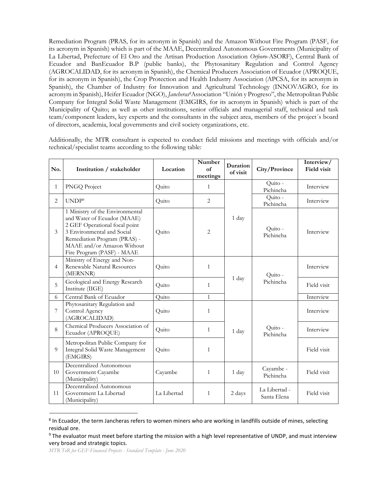Remediation Program (PRAS, for its acronym in Spanish) and the Amazon Without Fire Program (PASF, for its acronym in Spanish) which is part of the MAAE, Decentralized Autonomous Governments (Municipality of La Libertad, Prefecture of El Oro and the Artisan Production Association *Orfeoro*-ASORF), Central Bank of Ecuador and BanEcuador B.P (public banks), the Phytosanitary Regulation and Control Agency (AGROCALIDAD, for its acronym in Spanish), the Chemical Producers Association of Ecuador (APROQUE, for its acronym in Spanish), the Crop Protection and Health Industry Association (APCSA, for its acronym in Spanish), the Chamber of Industry for Innovation and Agricultural Technology (INNOVAGRO, for its acronym in Spanish), Heifer Ecuador (NGO), *Jancheras8*Association "Unión y Progreso", the Metropolitan Public Company for Integral Solid Waste Management (EMGIRS, for its acronym in Spanish) which is part of the Municipality of Quito; as well as other institutions, senior officials and managerial staff, technical and task team/component leaders, key experts and the consultants in the subject area, members of the project´s board of directors, academia, local governments and civil society organizations, etc.

Additionally, the MTR consultant is expected to conduct field missions and meetings with officials and/or technical/specialist teams according to the following table:

| No.            | Institution / stakeholder                                                                                                                                                                                                 | Location    | Number<br>of<br>meetings | Duration<br>of visit | City/Province                | Interview/<br><b>Field visit</b> |
|----------------|---------------------------------------------------------------------------------------------------------------------------------------------------------------------------------------------------------------------------|-------------|--------------------------|----------------------|------------------------------|----------------------------------|
| $\mathbf{1}$   | PNGQ Project                                                                                                                                                                                                              | Quito       | 1                        |                      | Quito -<br>Pichincha         | Interview                        |
| 2              | UNDP <sup>9</sup>                                                                                                                                                                                                         | Quito       | $\overline{2}$           |                      | Quito -<br>Pichincha         | Interview                        |
| 3              | 1 Ministry of the Environmental<br>and Water of Ecuador (MAAE)<br>2 GEF Operational focal point<br>3 Environmental and Social<br>Remediation Program (PRAS) -<br>MAAE and/or Amazon Without<br>Fire Program (PASF) - MAAE | Quito       | $\overline{2}$           | 1 day                | Quito -<br>Pichincha         | Interview                        |
| $\overline{4}$ | Ministry of Energy and Non-<br>Renewable Natural Resources<br>(MERNNR)                                                                                                                                                    | Quito       | $\mathbf{1}$             |                      | Quito -                      | Interview                        |
| 5              | Geological and Energy Research<br>Institute (IIGE)                                                                                                                                                                        | Quito       | 1                        | 1 day<br>Pichincha   | Field visit                  |                                  |
| 6              | Central Bank of Ecuador                                                                                                                                                                                                   | Quito       | $\mathbf{1}$             |                      |                              | Interview                        |
| 7              | Phytosanitary Regulation and<br>Control Agency<br>(AGROCALIDAD)                                                                                                                                                           | Quito       | 1                        |                      |                              | Interview                        |
| 8              | Chemical Producers Association of<br>Ecuador (APROQUE)                                                                                                                                                                    | Quito       | $\mathbf{1}$             | 1 day                | Quito -<br>Pichincha         | Interview                        |
| 9              | Metropolitan Public Company for<br>Integral Solid Waste Management<br>(EMGIRS)                                                                                                                                            | Quito       | $\mathbf{1}$             |                      |                              | Field visit                      |
| 10             | Decentralized Autonomous<br>Government Cayambe<br>(Municipality)                                                                                                                                                          | Cayambe     | 1                        | 1 day                | Cayambe -<br>Pichincha       | Field visit                      |
| 11             | Decentralized Autonomous<br>Government La Libertad<br>(Municipality)                                                                                                                                                      | La Libertad | $\mathbf{1}$             | 2 days               | La Libertad -<br>Santa Elena | Field visit                      |

<sup>&</sup>lt;sup>8</sup> In Ecuador, the term Jancheras refers to women miners who are working in landfills outside of mines, selecting residual ore.

<sup>&</sup>lt;sup>9</sup> The evaluator must meet before starting the mission with a high level representative of UNDP, and must interview very broad and strategic topics.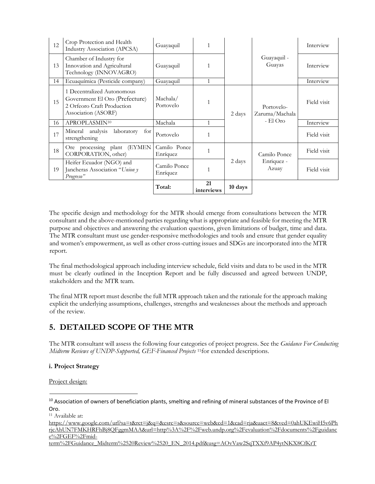| 12 | Crop Protection and Health<br><b>Industry Association (APCSA)</b>                                                 | Guayaquil                |                  |                               |                              | Interview   |
|----|-------------------------------------------------------------------------------------------------------------------|--------------------------|------------------|-------------------------------|------------------------------|-------------|
| 13 | Chamber of Industry for<br>Innovation and Agricultural<br>Technology (INNOVAGRO)                                  | Guayaquil                | 1                |                               | Guayaquil -<br>Guayas        | Interview   |
| 14 | Ecuaquímica (Pesticide company)                                                                                   | Guayaquil                | $\mathbf{1}$     |                               |                              | Interview   |
| 15 | 1 Decentralized Autonomous<br>Government El Oro (Prefecture)<br>2 Orfeoro Craft Production<br>Association (ASORF) | Machala/<br>Portovelo    | 1                | 2 days                        | Portovelo-<br>Zaruma/Machala | Field visit |
| 16 | APROPLASMIN <sup>10</sup>                                                                                         | Machala                  | $\mathbf{1}$     |                               | $-El$ Oro                    | Interview   |
| 17 | Mineral analysis<br>laboratory<br>for $\vert$<br>strengthening                                                    | Portovelo                | $\mathbf{1}$     |                               |                              | Field visit |
| 18 | (EYMEN)<br>Ore processing plant<br>CORPORATION, other)                                                            | Camilo Ponce<br>Enríquez | 1                |                               | Camilo Ponce                 | Field visit |
| 19 | Heifer Ecuador (NGO) and<br>Jancheras Association "Union y<br>Progreso"                                           | Camilo Ponce<br>Enríquez | 1                | 2 days<br>Enriquez -<br>Azuay |                              | Field visit |
|    |                                                                                                                   | Total:                   | 21<br>interviews | 10 days                       |                              |             |

The specific design and methodology for the MTR should emerge from consultations between the MTR consultant and the above-mentioned parties regarding what is appropriate and feasible for meeting the MTR purpose and objectives and answering the evaluation questions, given limitations of budget, time and data. The MTR consultant must use gender-responsive methodologies and tools and ensure that gender equality and women's empowerment, as well as other cross-cutting issues and SDGs are incorporated into the MTR report.

The final methodological approach including interview schedule, field visits and data to be used in the MTR must be clearly outlined in the Inception Report and be fully discussed and agreed between UNDP, stakeholders and the MTR team.

The final MTR report must describe the full MTR approach taken and the rationale for the approach making explicit the underlying assumptions, challenges, strengths and weaknesses about the methods and approach of the review.

# **5. DETAILED SCOPE OF THE MTR**

The MTR consultant will assess the following four categories of project progress. See the *Guidance For Conducting Midterm Reviews of UNDP-Supported, GEF-Financed Projects* 11for extended descriptions.

### **i. Project Strategy**

Project design:

<sup>10</sup> Association of owners of beneficiation plants, smelting and refining of mineral substances of the Province of El Oro.

<sup>11</sup> Available at:

[https://www.google.com/url?sa=t&rct=j&q=&esrc=s&source=web&cd=1&cad=rja&uact=8&ved=0ahUKEwiH5v6Ph](https://www.google.com/url?sa=t&rct=j&q=&esrc=s&source=web&cd=1&cad=rja&uact=8&ved=0ahUKEwiH5v6PhrjcAhUN7FMKHRFhBj8QFggmMAA&url=http%3A%2F%2Fweb.undp.org%2Fevaluation%2Fdocuments%2Fguidance%2FGEF%2Fmid-term%2FGuidance_Midterm%2520Review%2520_EN_2014.pdf&usg=AOvVaw2SqTXXf9AP4ytNKX8CfKrT) [rjcAhUN7FMKHRFhBj8QFggmMAA&url=http%3A%2F%2Fweb.undp.org%2Fevaluation%2Fdocuments%2Fguidanc](https://www.google.com/url?sa=t&rct=j&q=&esrc=s&source=web&cd=1&cad=rja&uact=8&ved=0ahUKEwiH5v6PhrjcAhUN7FMKHRFhBj8QFggmMAA&url=http%3A%2F%2Fweb.undp.org%2Fevaluation%2Fdocuments%2Fguidance%2FGEF%2Fmid-term%2FGuidance_Midterm%2520Review%2520_EN_2014.pdf&usg=AOvVaw2SqTXXf9AP4ytNKX8CfKrT) [e%2FGEF%2Fmid-](https://www.google.com/url?sa=t&rct=j&q=&esrc=s&source=web&cd=1&cad=rja&uact=8&ved=0ahUKEwiH5v6PhrjcAhUN7FMKHRFhBj8QFggmMAA&url=http%3A%2F%2Fweb.undp.org%2Fevaluation%2Fdocuments%2Fguidance%2FGEF%2Fmid-term%2FGuidance_Midterm%2520Review%2520_EN_2014.pdf&usg=AOvVaw2SqTXXf9AP4ytNKX8CfKrT)

[term%2FGuidance\\_Midterm%2520Review%2520\\_EN\\_2014.pdf&usg=AOvVaw2SqTXXf9AP4ytNKX8CfKrT](https://www.google.com/url?sa=t&rct=j&q=&esrc=s&source=web&cd=1&cad=rja&uact=8&ved=0ahUKEwiH5v6PhrjcAhUN7FMKHRFhBj8QFggmMAA&url=http%3A%2F%2Fweb.undp.org%2Fevaluation%2Fdocuments%2Fguidance%2FGEF%2Fmid-term%2FGuidance_Midterm%2520Review%2520_EN_2014.pdf&usg=AOvVaw2SqTXXf9AP4ytNKX8CfKrT)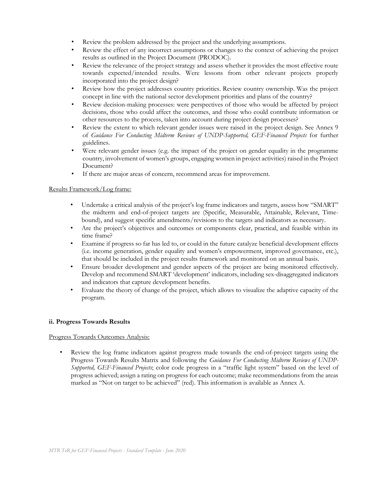- Review the problem addressed by the project and the underlying assumptions.
- Review the effect of any incorrect assumptions or changes to the context of achieving the project results as outlined in the Project Document (PRODOC).
- Review the relevance of the project strategy and assess whether it provides the most effective route towards expected/intended results. Were lessons from other relevant projects properly incorporated into the project design?
- Review how the project addresses country priorities. Review country ownership. Was the project concept in line with the national sector development priorities and plans of the country?
- Review decision-making processes: were perspectives of those who would be affected by project decisions, those who could affect the outcomes, and those who could contribute information or other resources to the process, taken into account during project design processes?
- Review the extent to which relevant gender issues were raised in the project design. See Annex 9 of *Guidance For Conducting Midterm Reviews of UNDP-Supported, GEF-Financed Projects* for further guidelines.
- Were relevant gender issues (e.g. the impact of the project on gender equality in the programme country, involvement of women's groups, engaging women in project activities) raised in the Project Document?
- If there are major areas of concern, recommend areas for improvement.

### Results Framework/Log frame:

- Undertake a critical analysis of the project's log frame indicators and targets, assess how "SMART" the midterm and end-of-project targets are (Specific, Measurable, Attainable, Relevant, Timebound), and suggest specific amendments/revisions to the targets and indicators as necessary.
- Are the project's objectives and outcomes or components clear, practical, and feasible within its time frame?
- Examine if progress so far has led to, or could in the future catalyze beneficial development effects (i.e. income generation, gender equality and women's empowerment, improved governance, etc.), that should be included in the project results framework and monitored on an annual basis.
- Ensure broader development and gender aspects of the project are being monitored effectively. Develop and recommend SMART 'development' indicators, including sex-disaggregated indicators and indicators that capture development benefits.
- Evaluate the theory of change of the project, which allows to visualize the adaptive capacity of the program.

### **ii. Progress Towards Results**

### Progress Towards Outcomes Analysis:

Review the log frame indicators against progress made towards the end-of-project targets using the Progress Towards Results Matrix and following the *Guidance For Conducting Midterm Reviews of UNDP-Supported, GEF-Financed Projects*; color code progress in a "traffic light system" based on the level of progress achieved; assign a rating on progress for each outcome; make recommendations from the areas marked as "Not on target to be achieved" (red). This information is available as Annex A.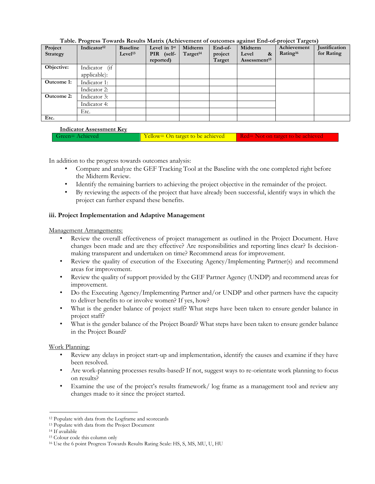| Project           | Indicator <sup>12</sup> | <b>Baseline</b>     | Level in 1st | Midterm              | End-of- | Midterm                    | Achievement          | <b>Justification</b> |
|-------------------|-------------------------|---------------------|--------------|----------------------|---------|----------------------------|----------------------|----------------------|
| Strategy          |                         | Level <sup>13</sup> | PIR (self-   | Target <sup>14</sup> | project | Level<br>$\boldsymbol{\&}$ | Rating <sup>16</sup> | for Rating           |
|                   |                         |                     | reported)    |                      | Target  | Assessment <sup>15</sup>   |                      |                      |
| Objective:        | Indicator (if           |                     |              |                      |         |                            |                      |                      |
|                   | applicable):            |                     |              |                      |         |                            |                      |                      |
| Outcome 1:        | Indicator 1:            |                     |              |                      |         |                            |                      |                      |
|                   | Indicator 2:            |                     |              |                      |         |                            |                      |                      |
| <b>Outcome 2:</b> | Indicator 3:            |                     |              |                      |         |                            |                      |                      |
|                   | Indicator 4:            |                     |              |                      |         |                            |                      |                      |
|                   | Etc.                    |                     |              |                      |         |                            |                      |                      |
| Etc.              |                         |                     |              |                      |         |                            |                      |                      |

**Table. Progress Towards Results Matrix (Achievement of outcomes against End-of-project Targets)**

### **Indicator Assessment Key**

| Green=Achieved | Yellow= On target to be achieved Red= Not on target to be achieved |  |
|----------------|--------------------------------------------------------------------|--|
|                |                                                                    |  |

In addition to the progress towards outcomes analysis:

- Compare and analyze the GEF Tracking Tool at the Baseline with the one completed right before the Midterm Review.
- Identify the remaining barriers to achieving the project objective in the remainder of the project.
- By reviewing the aspects of the project that have already been successful, identify ways in which the project can further expand these benefits.

### **iii. Project Implementation and Adaptive Management**

Management Arrangements:

- Review the overall effectiveness of project management as outlined in the Project Document. Have changes been made and are they effective? Are responsibilities and reporting lines clear? Is decisionmaking transparent and undertaken on time? Recommend areas for improvement.
- Review the quality of execution of the Executing Agency/Implementing Partner(s) and recommend areas for improvement.
- Review the quality of support provided by the GEF Partner Agency (UNDP) and recommend areas for improvement.
- Do the Executing Agency/Implementing Partner and/or UNDP and other partners have the capacity to deliver benefits to or involve women? If yes, how?
- What is the gender balance of project staff? What steps have been taken to ensure gender balance in project staff?
- What is the gender balance of the Project Board? What steps have been taken to ensure gender balance in the Project Board?

### Work Planning:

- Review any delays in project start-up and implementation, identify the causes and examine if they have been resolved.
- Are work-planning processes results-based? If not, suggest ways to re-orientate work planning to focus on results?
- Examine the use of the project's results framework/ log frame as a management tool and review any changes made to it since the project started.

<sup>12</sup> Populate with data from the Logframe and scorecards

<sup>13</sup> Populate with data from the Project Document

<sup>14</sup> If available

<sup>15</sup> Colour code this column only

<sup>16</sup> Use the 6 point Progress Towards Results Rating Scale: HS, S, MS, MU, U, HU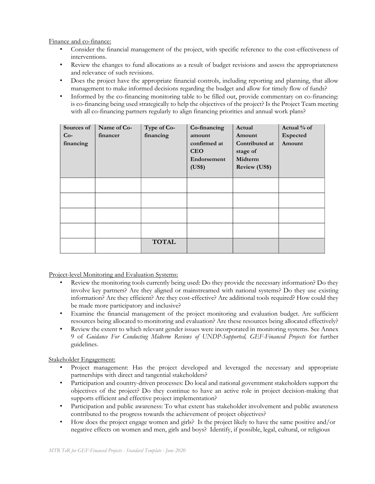Finance and co-finance:

- Consider the financial management of the project, with specific reference to the cost-effectiveness of interventions.
- Review the changes to fund allocations as a result of budget revisions and assess the appropriateness and relevance of such revisions.
- Does the project have the appropriate financial controls, including reporting and planning, that allow management to make informed decisions regarding the budget and allow for timely flow of funds?
- Informed by the co-financing monitoring table to be filled out, provide commentary on co-financing: is co-financing being used strategically to help the objectives of the project? Is the Project Team meeting with all co-financing partners regularly to align financing priorities and annual work plans?

| Sources of<br>$Co-$<br>financing | Name of Co-<br>financer | Type of Co-<br>financing | Co-financing<br>amount<br>confirmed at<br><b>CEO</b><br>Endorsement<br>(US\$) | Actual<br>Amount<br>Contributed at<br>stage of<br>Midterm<br><b>Review (US\$)</b> | Actual % of<br>Expected<br>Amount |
|----------------------------------|-------------------------|--------------------------|-------------------------------------------------------------------------------|-----------------------------------------------------------------------------------|-----------------------------------|
|                                  |                         |                          |                                                                               |                                                                                   |                                   |
|                                  |                         |                          |                                                                               |                                                                                   |                                   |
|                                  |                         |                          |                                                                               |                                                                                   |                                   |
|                                  |                         |                          |                                                                               |                                                                                   |                                   |
|                                  |                         | <b>TOTAL</b>             |                                                                               |                                                                                   |                                   |

Project-level Monitoring and Evaluation Systems:

- Review the monitoring tools currently being used: Do they provide the necessary information? Do they involve key partners? Are they aligned or mainstreamed with national systems? Do they use existing information? Are they efficient? Are they cost-effective? Are additional tools required? How could they be made more participatory and inclusive?
- Examine the financial management of the project monitoring and evaluation budget. Are sufficient resources being allocated to monitoring and evaluation? Are these resources being allocated effectively?
- Review the extent to which relevant gender issues were incorporated in monitoring systems. See Annex 9 of *Guidance For Conducting Midterm Reviews of UNDP-Supported, GEF-Financed Projects* for further guidelines.

Stakeholder Engagement:

- Project management: Has the project developed and leveraged the necessary and appropriate partnerships with direct and tangential stakeholders?
- Participation and country-driven processes: Do local and national government stakeholders support the objectives of the project? Do they continue to have an active role in project decision-making that supports efficient and effective project implementation?
- Participation and public awareness: To what extent has stakeholder involvement and public awareness contributed to the progress towards the achievement of project objectives?
- How does the project engage women and girls? Is the project likely to have the same positive and/or negative effects on women and men, girls and boys? Identify, if possible, legal, cultural, or religious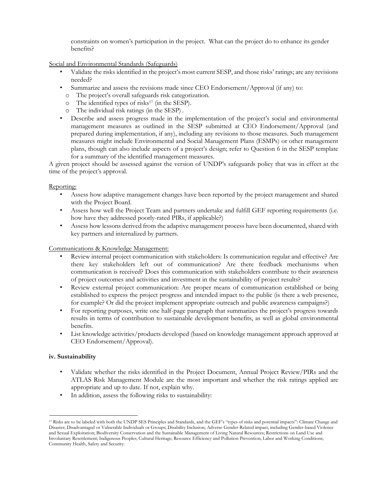constraints on women's participation in the project. What can the project do to enhance its gender benefits?

Social and Environmental Standards (Safeguards)

- Validate the risks identified in the project's most current SESP, and those risks' ratings; are any revisions needed?
- Summarize and assess the revisions made since CEO Endorsement/Approval (if any) to:
	- o The project's overall safeguards risk categorization.
	- o The identified types of risks<sup>17</sup> (in the SESP).
	- o The individual risk ratings (in the SESP) .
- Describe and assess progress made in the implementation of the project's social and environmental management measures as outlined in the SESP submitted at CEO Endorsement/Approval (and prepared during implementation, if any), including any revisions to those measures. Such management measures might include Environmental and Social Management Plans (ESMPs) or other management plans, though can also include aspects of a project's design; refer to Question 6 in the SESP template for a summary of the identified management measures.

A given project should be assessed against the version of UNDP's safeguards policy that was in effect at the time of the project's approval.

#### Reporting:

- Assess how adaptive management changes have been reported by the project management and shared with the Project Board.
- Assess how well the Project Team and partners undertake and fulfill GEF reporting requirements (i.e. how have they addressed poorly-rated PIRs, if applicable?)
- Assess how lessons derived from the adaptive management process have been documented, shared with key partners and internalized by partners.

#### Communications & Knowledge Management:

- Review internal project communication with stakeholders: Is communication regular and effective? Are there key stakeholders left out of communication? Are there feedback mechanisms when communication is received? Does this communication with stakeholders contribute to their awareness of project outcomes and activities and investment in the sustainability of project results?
- Review external project communication: Are proper means of communication established or being established to express the project progress and intended impact to the public (is there a web presence, for example? Or did the project implement appropriate outreach and public awareness campaigns?)
- For reporting purposes, write one half-page paragraph that summarizes the project's progress towards results in terms of contribution to sustainable development benefits, as well as global environmental benefits.
- List knowledge activities/products developed (based on knowledge management approach approved at CEO Endorsement/Approval).

#### **iv. Sustainability**

- Validate whether the risks identified in the Project Document, Annual Project Review/PIRs and the ATLAS Risk Management Module are the most important and whether the risk ratings applied are appropriate and up to date. If not, explain why.
- In addition, assess the following risks to sustainability:

<sup>17</sup> Risks are to be labeled with both the UNDP SES Principles and Standards, and the GEF's "types of risks and potential impacts": Climate Change and Disaster; Disadvantaged or Vulnerable Individuals or Groups; Disability Inclusion; Adverse Gender-Related impact, including Gender-based Violence and Sexual Exploitation; Biodiversity Conservation and the Sustainable Management of Living Natural Resources; Restrictions on Land Use and Involuntary Resettlement; Indigenous Peoples; Cultural Heritage; Resource Efficiency and Pollution Prevention; Labor and Working Conditions; Community Health, Safety and Security.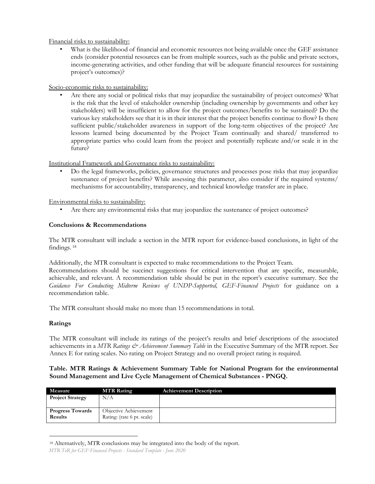Financial risks to sustainability:

What is the likelihood of financial and economic resources not being available once the GEF assistance ends (consider potential resources can be from multiple sources, such as the public and private sectors, income-generating activities, and other funding that will be adequate financial resources for sustaining project's outcomes)?

Socio-economic risks to sustainability:

• Are there any social or political risks that may jeopardize the sustainability of project outcomes? What is the risk that the level of stakeholder ownership (including ownership by governments and other key stakeholders) will be insufficient to allow for the project outcomes/benefits to be sustained? Do the various key stakeholders see that it is in their interest that the project benefits continue to flow? Is there sufficient public/stakeholder awareness in support of the long-term objectives of the project? Are lessons learned being documented by the Project Team continually and shared/ transferred to appropriate parties who could learn from the project and potentially replicate and/or scale it in the future?

### Institutional Framework and Governance risks to sustainability:

• Do the legal frameworks, policies, governance structures and processes pose risks that may jeopardize sustenance of project benefits? While assessing this parameter, also consider if the required systems/ mechanisms for accountability, transparency, and technical knowledge transfer are in place.

Environmental risks to sustainability:

• Are there any environmental risks that may jeopardize the sustenance of project outcomes?

### **Conclusions & Recommendations**

The MTR consultant will include a section in the MTR report for evidence-based conclusions, in light of the findings. 18

Additionally, the MTR consultant is expected to make recommendations to the Project Team.

Recommendations should be succinct suggestions for critical intervention that are specific, measurable, achievable, and relevant. A recommendation table should be put in the report's executive summary. See the *Guidance For Conducting Midterm Reviews of UNDP-Supported, GEF-Financed Projects* for guidance on a recommendation table.

The MTR consultant should make no more than 15 recommendations in total.

### **Ratings**

The MTR consultant will include its ratings of the project's results and brief descriptions of the associated achievements in a *MTR Ratings & Achievement Summary Table* in the Executive Summary of the MTR report. See Annex E for rating scales. No rating on Project Strategy and no overall project rating is required.

### **Table. MTR Ratings & Achievement Summary Table for National Program for the environmental Sound Management and Live Cycle Management of Chemical Substances - PNGQ.**

| Measure                                   | <b>MTR Rating</b>                                          | <b>Achievement Description</b> |
|-------------------------------------------|------------------------------------------------------------|--------------------------------|
| <b>Project Strategy</b>                   | N/A                                                        |                                |
| <b>Progress Towards</b><br><b>Results</b> | <b>Objective Achievement</b><br>Rating: (rate 6 pt. scale) |                                |

*MTR ToR for GEF-Financed Projects - Standard Template - June 2020* <sup>18</sup> Alternatively, MTR conclusions may be integrated into the body of the report.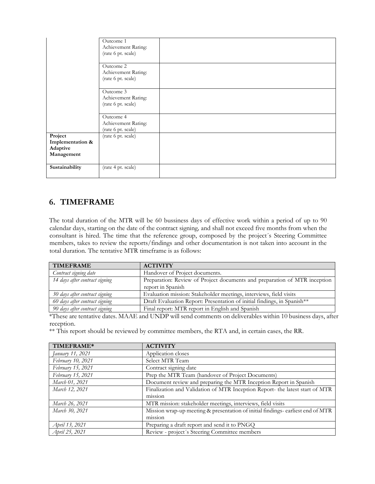|                                                       | Outcome 1<br>Achievement Rating:<br>(rate 6 pt. scale)<br>Outcome 2<br>Achievement Rating:<br>(rate 6 pt. scale) |
|-------------------------------------------------------|------------------------------------------------------------------------------------------------------------------|
|                                                       | Outcome 3<br>Achievement Rating:<br>(rate 6 pt. scale)                                                           |
|                                                       | Outcome 4<br>Achievement Rating:<br>(rate 6 pt. scale)                                                           |
| Project<br>Implementation &<br>Adaptive<br>Management | (rate 6 pt. scale)                                                                                               |
| Sustainability                                        | (rate 4 pt. scale)                                                                                               |

# **6. TIMEFRAME**

The total duration of the MTR will be 60 bussiness days of effective work within a period of up to 90 calendar days, starting on the date of the contract signing*,* and shall not exceed five months from when the consultant is hired. The time that the reference group, composed by the project´s Steering Committee members, takes to review the reports/findings and other documentation is not taken into account in the total duration. The tentative MTR timeframe is as follows:

| <b>TIMEFRAME</b>               | <b>ACTIVITY</b>                                                           |
|--------------------------------|---------------------------------------------------------------------------|
| Contract signing date          | Handover of Project documents.                                            |
| 14 days after contract signing | Preparation: Review of Project documents and preparation of MTR inception |
|                                | report in Spanish                                                         |
| 30 days after contract signing | Evaluation mission: Stakeholder meetings, interviews, field visits        |
| 60 days after contract signing | Draft Evaluation Report: Presentation of initial findings, in Spanish**   |
| 90 days after contract signing | Final report: MTR report in English and Spanish                           |

\*These are tentative dates. MAAE and UNDP will send comments on deliverables within 10 business days, after reception.

\*\* This report should be reviewed by committee members, the RTA and, in certain cases, the RR.

| TIMEFRAME*        | <b>ACTIVITY</b>                                                                |
|-------------------|--------------------------------------------------------------------------------|
| January 11, 2021  | Application closes                                                             |
| February 10, 2021 | Select MTR Team                                                                |
| February 15, 2021 | Contract signing date                                                          |
| February 15, 2021 | Prep the MTR Team (handover of Project Documents)                              |
| March 01, 2021    | Document review and preparing the MTR Inception Report in Spanish              |
| March 12, 2021    | Finalization and Validation of MTR Inception Report- the latest start of MTR   |
|                   | mission                                                                        |
| March 26, 2021    | MTR mission: stakeholder meetings, interviews, field visits                    |
| March 30, 2021    | Mission wrap-up meeting & presentation of initial findings-earliest end of MTR |
|                   | mission                                                                        |
| April 13, 2021    | Preparing a draft report and send it to PNGQ                                   |
| April 25, 2021    | Review - project's Steering Committee members                                  |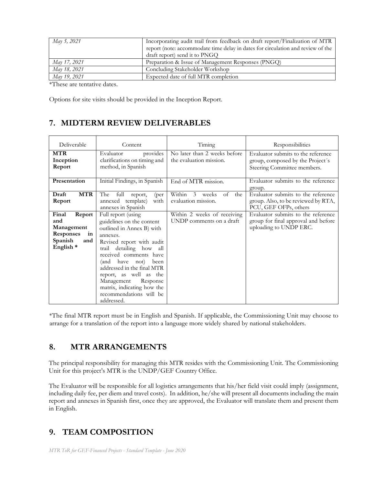| Incorporating audit trail from feedback on draft report/Finalization of MTR     |
|---------------------------------------------------------------------------------|
| report (note: accommodate time delay in dates for circulation and review of the |
| draft report) send it to PNGQ                                                   |
| Preparation & Issue of Management Responses (PNGQ)                              |
| Concluding Stakeholder Workshop                                                 |
| Expected date of full MTR completion                                            |
|                                                                                 |

\*These are tentative dates.

Options for site visits should be provided in the Inception Report.

### **7. MIDTERM REVIEW DELIVERABLES**

| Deliverable                                                                                       | Content                                                                                                                                                                                                                                                                                                                                                    | Timing                                                  | Responsibilities                                                                                      |
|---------------------------------------------------------------------------------------------------|------------------------------------------------------------------------------------------------------------------------------------------------------------------------------------------------------------------------------------------------------------------------------------------------------------------------------------------------------------|---------------------------------------------------------|-------------------------------------------------------------------------------------------------------|
| <b>MTR</b><br>Inception<br>Report                                                                 | provides<br>Evaluator<br>clarifications on timing and<br>method, in Spanish                                                                                                                                                                                                                                                                                | No later than 2 weeks before<br>the evaluation mission. | Evaluator submits to the reference<br>group, composed by the Project's<br>Steering Committee members. |
| Presentation                                                                                      | Initial Findings, in Spanish                                                                                                                                                                                                                                                                                                                               | End of MTR mission.                                     | Evaluator submits to the reference<br>group.                                                          |
| <b>MTR</b><br>Draft<br>Report                                                                     | The<br>full<br>report,<br>(per<br>annexed template)<br>with<br>annexes in Spanish                                                                                                                                                                                                                                                                          | Within 3<br>of<br>the<br>weeks<br>evaluation mission.   | Evaluator submits to the reference<br>group. Also, to be reviewed by RTA,<br>PCU, GEF OFPs, others    |
| Final<br>Report<br>and<br>Management<br>Responses<br>in<br>Spanish<br>and<br>English <sup>*</sup> | Full report (using<br>guidelines on the content<br>outlined in Annex B) with<br>annexes.<br>Revised report with audit<br>detailing how all<br>trail<br>received comments have<br>(and have not) been<br>addressed in the final MTR<br>report, as well as the<br>Management Response<br>matrix, indicating how the<br>recommendations will be<br>addressed. | Within 2 weeks of receiving<br>UNDP comments on a draft | Evaluator submits to the reference<br>group for final approval and before<br>uploading to UNDP ERC.   |

\*The final MTR report must be in English and Spanish. If applicable, the Commissioning Unit may choose to arrange for a translation of the report into a language more widely shared by national stakeholders.

### **8. MTR ARRANGEMENTS**

The principal responsibility for managing this MTR resides with the Commissioning Unit. The Commissioning Unit for this project's MTR is the UNDP/GEF Country Office.

The Evaluator will be responsible for all logistics arrangements that his/her field visit could imply (assignment, including daily fee, per diem and travel costs). In addition, he/she will present all documents including the main report and annexes in Spanish first, once they are approved, the Evaluator will translate them and present them in English.

# **9. TEAM COMPOSITION**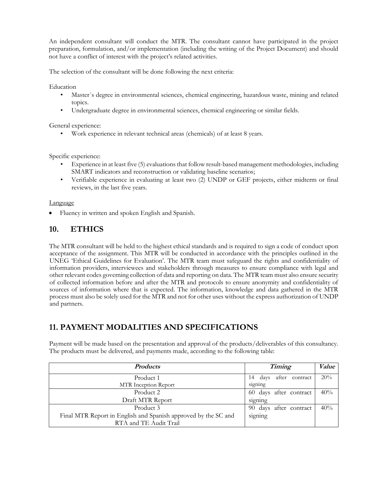An independent consultant will conduct the MTR. The consultant cannot have participated in the project preparation, formulation, and/or implementation (including the writing of the Project Document) and should not have a conflict of interest with the project's related activities.

The selection of the consultant will be done following the next criteria:

Education

- Master´s degree in environmental sciences, chemical engineering, hazardous waste, mining and related topics.
- Undergraduate degree in environmental sciences, chemical engineering or similar fields.

General experience:

• Work experience in relevant technical areas (chemicals) of at least 8 years.

Specific experience:

- Experience in at least five (5) evaluations that follow result-based management methodologies, including SMART indicators and reconstruction or validating baseline scenarios;
- Verifiable experience in evaluating at least two (2) UNDP or GEF projects, either midterm or final reviews, in the last five years.

### Language

• Fluency in written and spoken English and Spanish.

# **10. ETHICS**

The MTR consultant will be held to the highest ethical standards and is required to sign a code of conduct upon acceptance of the assignment. This MTR will be conducted in accordance with the principles outlined in the UNEG 'Ethical Guidelines for Evaluation'. The MTR team must safeguard the rights and confidentiality of information providers, interviewees and stakeholders through measures to ensure compliance with legal and other relevant codes governing collection of data and reporting on data. The MTR team must also ensure security of collected information before and after the MTR and protocols to ensure anonymity and confidentiality of sources of information where that is expected. The information, knowledge and data gathered in the MTR process must also be solely used for the MTR and not for other uses without the express authorization of UNDP and partners.

# **11. PAYMENT MODALITIES AND SPECIFICATIONS**

Payment will be made based on the presentation and approval of the products/deliverables of this consultancy. The products must be delivered, and payments made, according to the following table:

| <b>Products</b>                                                | Timing                       | Value |
|----------------------------------------------------------------|------------------------------|-------|
| Product 1                                                      | after contract<br>14<br>days | 20%   |
| MTR Inception Report                                           | signing                      |       |
| Product 2                                                      | 60 days after contract       | 40%   |
| Draft MTR Report                                               | signing                      |       |
| Product 3                                                      | 90 days after contract       | 40%   |
| Final MTR Report in English and Spanish approved by the SC and | signing                      |       |
| RTA and TE Audit Trail                                         |                              |       |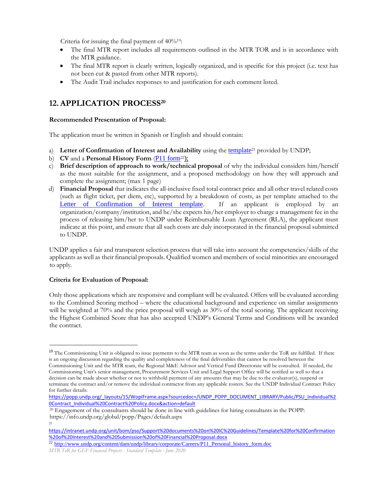Criteria for issuing the final payment of  $40\%$ <sup>19</sup>:

- The final MTR report includes all requirements outlined in the MTR TOR and is in accordance with the MTR guidance.
- The final MTR report is clearly written, logically organized, and is specific for this project (i.e. text has not been cut & pasted from other MTR reports).
- The Audit Trail includes responses to and justification for each comment listed.

# **12.APPLICATION PROCESS<sup>20</sup>**

### **Recommended Presentation of Proposal:**

The application must be written in Spanish or English and should contain:

- a) **Letter of Confirmation of Interest and Availability** using the [template](https://intranet.undp.org/unit/bom/pso/Support%20documents%20on%20IC%20Guidelines/Template%20for%20Confirmation%20of%20Interest%20and%20Submission%20of%20Financial%20Proposal.docx)<sup>21</sup> provided by UNDP;
- b) **CV** and a **Personal History Form** ([P11 form](http://www.undp.org/content/dam/undp/library/corporate/Careers/P11_Personal_history_form.doc)<sup>22</sup>);
- c) **Brief description of approach to work/technical proposal** of why the individual considers him/herself as the most suitable for the assignment, and a proposed methodology on how they will approach and complete the assignment; (max 1 page)
- d) **Financial Proposal** that indicates the all-inclusive fixed total contract price and all other travel related costs (such as flight ticket, per diem, etc), supported by a breakdown of costs, as per template attached to the Letter of **Confirmation of Interest template**. If an applicant is employed by an organization/company/institution, and he/she expects his/her employer to charge a management fee in the process of releasing him/her to UNDP under Reimbursable Loan Agreement (RLA), the applicant must indicate at this point, and ensure that all such costs are duly incorporated in the financial proposal submitted to UNDP.

UNDP applies a fair and transparent selection process that will take into account the competencies/skills of the applicants as well as their financial proposals. Qualified women and members of social minorities are encouraged to apply.

### **Criteria for Evaluation of Proposal:**

Only those applications which are responsive and compliant will be evaluated. Offers will be evaluated according to the Combined Scoring method – where the educational background and experience on similar assignments will be weighted at 70% and the price proposal will weigh as 30% of the total scoring. The applicant receiving the Highest Combined Score that has also accepted UNDP's General Terms and Conditions will be awarded the contract.

<sup>&</sup>lt;sup>19</sup> The Commissioning Unit is obligated to issue payments to the MTR team as soon as the terms under the ToR are fulfilled. If there is an ongoing discussion regarding the quality and completeness of the final deliverables that cannot be resolved between the Commissioning Unit and the MTR team, the Regional M&E Advisor and Vertical Fund Directorate will be consulted. If needed, the Commissioning Unit's senior management, Procurement Services Unit and Legal Support Office will be notified as well so that a decision can be made about whether or not to withhold payment of any amounts that may be due to the evaluator(s), suspend or terminate the contract and/or remove the individual contractor from any applicable rosters. See the UNDP Individual Contract Policy for further details:

[https://popp.undp.org/\\_layouts/15/WopiFrame.aspx?sourcedoc=/UNDP\\_POPP\\_DOCUMENT\\_LIBRARY/Public/PSU\\_Individual%2](https://popp.undp.org/_layouts/15/WopiFrame.aspx?sourcedoc=/UNDP_POPP_DOCUMENT_LIBRARY/Public/PSU_Individual%20Contract_Individual%20Contract%20Policy.docx&action=default) [0Contract\\_Individual%20Contract%20Policy.docx&action=default](https://popp.undp.org/_layouts/15/WopiFrame.aspx?sourcedoc=/UNDP_POPP_DOCUMENT_LIBRARY/Public/PSU_Individual%20Contract_Individual%20Contract%20Policy.docx&action=default)

<sup>&</sup>lt;sup>20</sup> Engagement of the consultants should be done in line with guidelines for hiring consultants in the POPP: https://info.undp.org/global/popp/Pages/default.aspx  $21$ 

[https://intranet.undp.org/unit/bom/pso/Support%20documents%20on%20IC%20Guidelines/Template%20for%20Confirmation](https://intranet.undp.org/unit/bom/pso/Support%20documents%20on%20IC%20Guidelines/Template%20for%20Confirmation%20of%20Interest%20and%20Submission%20of%20Financial%20Proposal.docx) [%20of%20Interest%20and%20Submission%20of%20Financial%20Proposal.docx](https://intranet.undp.org/unit/bom/pso/Support%20documents%20on%20IC%20Guidelines/Template%20for%20Confirmation%20of%20Interest%20and%20Submission%20of%20Financial%20Proposal.docx)

<sup>&</sup>lt;sup>22</sup> [http://www.undp.org/content/dam/undp/library/corporate/Careers/P11\\_Personal\\_history\\_form.doc](http://www.undp.org/content/dam/undp/library/corporate/Careers/P11_Personal_history_form.doc)

*MTR ToR for GEF-Financed Projects - Standard Template - June 2020*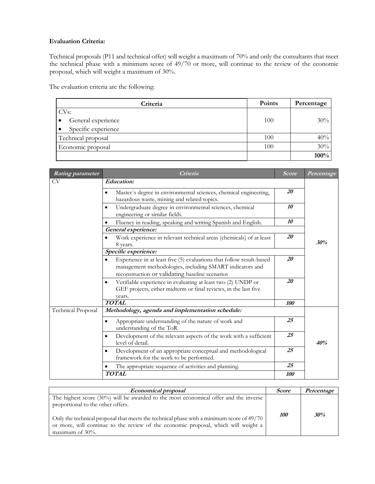### **Evaluation Criteria:**

Technical proposals (P11 and technical offer) will weight a maximum of 70% and only the consultants that meet the technical phase with a minimum score of 49/70 or more, will continue to the review of the economic proposal, which will weight a maximum of 30%.

The evaluation criteria are the following:

| Criteria            | <b>Points</b> | Percentage |
|---------------------|---------------|------------|
| CV <sub>s</sub> :   |               |            |
| General experience  | 100           | $30\%$     |
| Specific experience |               |            |
| Technical proposal  | 100           | 40%        |
| Economic proposal   | 100           | 30%        |
|                     |               | 100%       |

| <b>Rating parameter</b>   | Criteria                                                                                                                                                                                         | <b>Score</b> | Percentage |
|---------------------------|--------------------------------------------------------------------------------------------------------------------------------------------------------------------------------------------------|--------------|------------|
| CV                        | <b>Education:</b>                                                                                                                                                                                |              |            |
|                           | Master's degree in environmental sciences, chemical engineering,<br>$\bullet$<br>hazardous waste, mining and related topics.                                                                     | 20           |            |
|                           | Undergraduate degree in environmental sciences, chemical<br>engineering or similar fields.                                                                                                       | 10           |            |
|                           | Fluency in reading, speaking and writing Spanish and English.                                                                                                                                    | 10           |            |
|                           | General experience:                                                                                                                                                                              |              |            |
|                           | Work experience in relevant technical areas (chemicals) of at least<br>8 years.                                                                                                                  | 20           | .30%       |
|                           | Specific experience:                                                                                                                                                                             |              |            |
|                           | Experience in at least five (5) evaluations that follow result-based<br>$\bullet$<br>management methodologies, including SMART indicators and<br>reconstruction or validating baseline scenarios | 20           |            |
|                           | Verifiable experience in evaluating at least two (2) UNDP or<br>$\bullet$<br>GEF projects, either midterm or final reviews, in the last five<br>years.                                           | 20           |            |
|                           | <b>TOTAL</b>                                                                                                                                                                                     | 100          |            |
| <b>Technical Proposal</b> | Methodology, agenda and implementation schedule:                                                                                                                                                 |              |            |
|                           | Appropriate understanding of the nature of work and<br>$\bullet$<br>understanding of the ToR.                                                                                                    | 25           |            |
|                           | Development of the relevant aspects of the work with a sufficient<br>$\bullet$<br>level of detail.                                                                                               | 25           | 40%        |
|                           | Development of an appropriate conceptual and methodological<br>framework for the work to be performed.                                                                                           | 25           |            |
|                           | The appropriate sequence of activities and planning.                                                                                                                                             | 25           |            |
|                           | <b>TOTAL</b>                                                                                                                                                                                     | <i>100</i>   |            |

| <i>Economical proposal</i>                                                                                                                                                                                                                                                                                                            | <i>Score</i> | Percentage |
|---------------------------------------------------------------------------------------------------------------------------------------------------------------------------------------------------------------------------------------------------------------------------------------------------------------------------------------|--------------|------------|
| The highest score $(30\%)$ will be awarded to the most economical offer and the inverse<br>proportional to the other offers.<br>Only the technical proposal that meets the technical phase with a minimum score of 49/70<br>or more, will continue to the review of the economic proposal, which will weight a<br>maximum of $30\%$ . | <i>100</i>   | 30%        |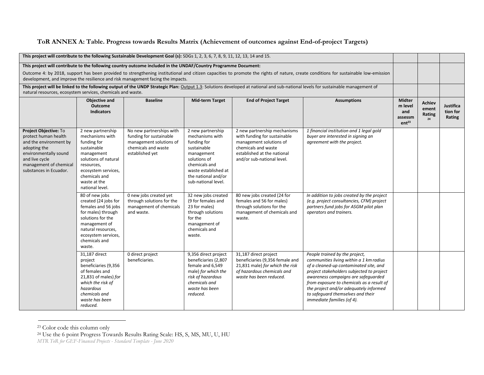### **ToR ANNEX A: Table. Progress towards Results Matrix (Achievement of outcomes against End-of-project Targets)**

| This project will contribute to the following Sustainable Development Goal (s): SDGs 1, 2, 3, 6, 7, 8, 9, 11, 12, 13, 14 and 15.                                                       |                                                                                                                                                                                                   |                                                                                                                          |                                                                                                                                                                                         |                                                                                                                                                                             |                                                                                                                                                                                                                                                                                                                                                                   |                                                                 |                                 |                                 |
|----------------------------------------------------------------------------------------------------------------------------------------------------------------------------------------|---------------------------------------------------------------------------------------------------------------------------------------------------------------------------------------------------|--------------------------------------------------------------------------------------------------------------------------|-----------------------------------------------------------------------------------------------------------------------------------------------------------------------------------------|-----------------------------------------------------------------------------------------------------------------------------------------------------------------------------|-------------------------------------------------------------------------------------------------------------------------------------------------------------------------------------------------------------------------------------------------------------------------------------------------------------------------------------------------------------------|-----------------------------------------------------------------|---------------------------------|---------------------------------|
| This project will contribute to the following country outcome included in the UNDAF/Country Programme Document:                                                                        |                                                                                                                                                                                                   |                                                                                                                          |                                                                                                                                                                                         |                                                                                                                                                                             |                                                                                                                                                                                                                                                                                                                                                                   |                                                                 |                                 |                                 |
|                                                                                                                                                                                        |                                                                                                                                                                                                   | development, and improve the resilience and risk management facing the impacts.                                          |                                                                                                                                                                                         |                                                                                                                                                                             | Outcome 4: by 2018, support has been provided to strengthening institutional and citizen capacities to promote the rights of nature, create conditions for sustainable low-emission                                                                                                                                                                               |                                                                 |                                 |                                 |
| natural resources, ecosystem services, chemicals and waste.                                                                                                                            |                                                                                                                                                                                                   |                                                                                                                          |                                                                                                                                                                                         |                                                                                                                                                                             | This project will be linked to the following output of the UNDP Strategic Plan: Output 1.3: Solutions developed at national and sub-national levels for sustainable management of                                                                                                                                                                                 |                                                                 |                                 |                                 |
|                                                                                                                                                                                        | <b>Objective and</b><br>Outcome<br><b>Indicators</b>                                                                                                                                              | <b>Baseline</b>                                                                                                          | <b>Mid-term Target</b>                                                                                                                                                                  | <b>End of Project Target</b>                                                                                                                                                | <b>Assumptions</b>                                                                                                                                                                                                                                                                                                                                                | <b>Midter</b><br>m level<br>and<br>assessm<br>ent <sup>23</sup> | Achiev<br>ement<br>Rating<br>24 | Justifica<br>tion for<br>Rating |
| Project Objective: To<br>protect human health<br>and the environment by<br>adopting the<br>environmentally sound<br>and live cycle<br>management of chemical<br>substances in Ecuador. | 2 new partnership<br>mechanisms with<br>funding for<br>sustainable<br>management<br>solutions of natural<br>resources,<br>ecosystem services,<br>chemicals and<br>waste at the<br>national level. | No new partnerships with<br>funding for sustainable<br>management solutions of<br>chemicals and waste<br>established yet | 2 new partnership<br>mechanisms with<br>funding for<br>sustainable<br>management<br>solutions of<br>chemicals and<br>waste established at<br>the national and/or<br>sub-national level. | 2 new partnership mechanisms<br>with funding for sustainable<br>management solutions of<br>chemicals and waste<br>established at the national<br>and/or sub-national level. | 1 financial institution and 1 legal gold<br>buyer are interested in signing an<br>agreement with the project.                                                                                                                                                                                                                                                     |                                                                 |                                 |                                 |
|                                                                                                                                                                                        | 80 of new jobs<br>created (24 jobs for<br>females and 56 jobs<br>for males) through<br>solutions for the<br>management of<br>natural resources,<br>ecosystem services,<br>chemicals and<br>waste. | 0 new jobs created yet<br>through solutions for the<br>management of chemicals<br>and waste.                             | 32 new jobs created<br>(9 for females and<br>23 for males)<br>through solutions<br>for the<br>management of<br>chemicals and<br>waste.                                                  | 80 new jobs created (24 for<br>females and 56 for males)<br>through solutions for the<br>management of chemicals and<br>waste.                                              | In addition to jobs created by the project<br>(e.g. project consultancies, CFM) project<br>partners fund jobs for ASGM pilot plan<br>operators and trainers.                                                                                                                                                                                                      |                                                                 |                                 |                                 |
|                                                                                                                                                                                        | 31,187 direct<br>project<br>beneficiaries (9,356<br>of females and<br>21,831 of males) for<br>which the risk of<br>hazardous<br>chemicals and<br>waste has been<br>reduced.                       | 0 direct project<br>beneficiaries.                                                                                       | 9,356 direct project<br>beneficiaries (2,807<br>female and 6,549<br>male) for which the<br>risk of hazardous<br>chemicals and<br>waste has been<br>reduced.                             | 31,187 direct project<br>beneficiaries (9,356 female and<br>21,831 male) for which the risk<br>of hazardous chemicals and<br>waste has been reduced.                        | People trained by the project,<br>communities living within a 1 km radius<br>of a cleaned-up contaminated site, and<br>project stakeholders subjected to project<br>awareness campaigns are safeguarded<br>from exposure to chemicals as a result of<br>the project and/or adequately informed<br>to safequard themselves and their<br>immediate families (of 4). |                                                                 |                                 |                                 |

<sup>23</sup> Color code this column only

<sup>24</sup> Use the 6 point Progress Towards Results Rating Scale: HS, S, MS, MU, U, HU

*MTR ToR for GEF-Financed Projects - Standard Template - June 2020*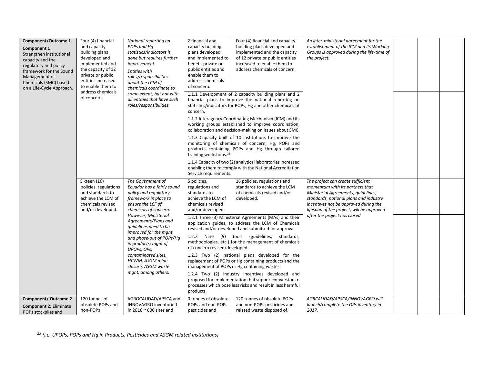| <b>Component/Outcome 1</b><br>Component 1:<br>Strengthen institutional<br>capacity and the<br>regulatory and policy<br>framework for the Sound<br>Management of<br>Chemicals (SMC) based<br>on a Life-Cycle Approach. | Four (4) financial<br>and capacity<br>building plans<br>developed and<br>implemented and<br>the capacity of 12<br>private or public<br>entities increased<br>to enable them to<br>address chemicals<br>of concern. | National reporting on<br>POPs and Ha<br>statistics/indicators is<br>done but requires further<br>improvement.<br><b>Entities with</b><br>roles/responsibilities<br>about the LCM of<br>chemicals coordinate to<br>some extent, but not with<br>all entities that have such<br>roles/responsibilities. | 2 financial and<br>capacity building<br>plans developed<br>and implemented to<br>benefit private or<br>public entities and<br>enable them to<br>address chemicals<br>of concern.<br>concern.<br>training workshops. <sup>25</sup><br>Service requirements. | Four (4) financial and capacity<br>building plans developed and<br>implemented and the capacity<br>of 12 private or public entities<br>increased to enable them to<br>address chemicals of concern.<br>1.1.1 Development of 2 capacity building plans and 2<br>financial plans to improve the national reporting on<br>statistics/indicators for POPs, Hg and other chemicals of<br>1.1.2 Interagency Coordinating Mechanism (ICM) and its<br>working groups established to improve coordination,<br>collaboration and decision-making on issues about SMC.<br>1.1.3 Capacity built of 10 institutions to improve the<br>monitoring of chemicals of concern, Hg, POPs and<br>products containing POPs and Hg through tailored<br>1.1.4 Capacity of two (2) analytical laboratories increased<br>enabling them to comply with the National Accreditation | An inter-ministerial agreement for the<br>establishment of the ICM and its Working<br>Groups is approved during the life-time of<br>the project.                                                                                                                             |  |  |
|-----------------------------------------------------------------------------------------------------------------------------------------------------------------------------------------------------------------------|--------------------------------------------------------------------------------------------------------------------------------------------------------------------------------------------------------------------|-------------------------------------------------------------------------------------------------------------------------------------------------------------------------------------------------------------------------------------------------------------------------------------------------------|------------------------------------------------------------------------------------------------------------------------------------------------------------------------------------------------------------------------------------------------------------|---------------------------------------------------------------------------------------------------------------------------------------------------------------------------------------------------------------------------------------------------------------------------------------------------------------------------------------------------------------------------------------------------------------------------------------------------------------------------------------------------------------------------------------------------------------------------------------------------------------------------------------------------------------------------------------------------------------------------------------------------------------------------------------------------------------------------------------------------------|------------------------------------------------------------------------------------------------------------------------------------------------------------------------------------------------------------------------------------------------------------------------------|--|--|
|                                                                                                                                                                                                                       | Sixteen (16)<br>policies, regulations<br>and standards to<br>achieve the LCM of<br>chemicals revised<br>and/or developed.                                                                                          | The Government of<br>Ecuador has a fairly sound<br>policy and regulatory<br>framework in place to<br>ensure the LCF of<br>chemicals of concern.<br>However, Ministerial<br>Agreements/Plans and                                                                                                       | 5 policies,<br>regulations and<br>standards to<br>achieve the LCM of<br>chemicals revised<br>and/or developed.                                                                                                                                             | 16 policies, regulations and<br>standards to achieve the LCM<br>of chemicals revised and/or<br>developed.<br>1.2.1 Three (3) Ministerial Agreements (MAs) and their                                                                                                                                                                                                                                                                                                                                                                                                                                                                                                                                                                                                                                                                                     | The project can create sufficient<br>momentum with its partners that<br>Ministerial Agreements, quidelines,<br>standards, national plans and industry<br>incentives not be approved during the<br>lifespan of the project, will be approved<br>after the project has closed. |  |  |
|                                                                                                                                                                                                                       |                                                                                                                                                                                                                    | quidelines need to be<br>improved for the mant.<br>and phase-out of POPs/Hq<br>in products; mgnt of<br>UPOPs, OPs,<br>contaminated sites,<br>HCWM, ASGM mine<br>closure, ASGM waste<br>mgnt, among others.                                                                                            | of concern revised/developed.<br>products.                                                                                                                                                                                                                 | application guides, to address the LCM of Chemicals<br>revised and/or developed and submitted for approval.<br>1.2.2 Nine (9) tools (guidelines, standards,<br>methodologies, etc.) for the management of chemicals<br>1.2.3 Two (2) national plans developed for the<br>replacement of POPs or Hg containing products and the<br>management of POPs or Hg containing wastes.<br>1.2.4 Two (2) Industry incentives developed and<br>proposed for implementation that support conversion to<br>processes which pose less risks and result in less harmful                                                                                                                                                                                                                                                                                                |                                                                                                                                                                                                                                                                              |  |  |
| <b>Component/ Outcome 2</b><br><b>Component 2: Eliminate</b><br>POPs stockpiles and                                                                                                                                   | 120 tonnes of<br>obsolete POPs and<br>non-POPs                                                                                                                                                                     | AGROCALIDAD/APSCA and<br>INNOVAGRO inventoried<br>in 2016 $\sim$ 600 sites and                                                                                                                                                                                                                        | 0 tonnes of obsolete<br>POPs and non-POPs<br>pesticides and                                                                                                                                                                                                | 120 tonnes of obsolete POPs<br>and non-POPs pesticides and<br>related waste disposed of.                                                                                                                                                                                                                                                                                                                                                                                                                                                                                                                                                                                                                                                                                                                                                                | AGRCALIDAD/APSCA/INNOVAGRO will<br>launch/complete the OPs inventory in<br>2017.                                                                                                                                                                                             |  |  |

*<sup>25</sup> (i.e. UPOPs, POPs and Hg in Products, Pesticides and ASGM related institutions)*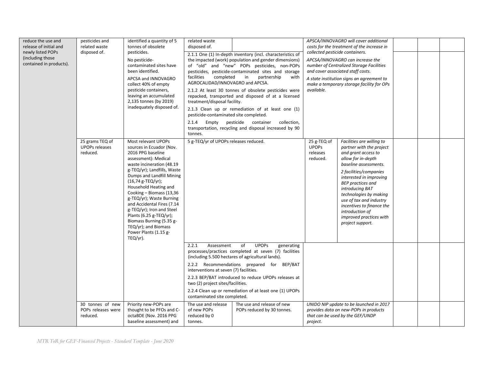| reduce the use and<br>release of initial and<br>newly listed POPs<br>(including those<br>contained in products). | pesticides and<br>related waste<br>disposed of.      | identified a quantity of 5<br>tonnes of obsolete<br>pesticides.<br>No pesticide-<br>contaminated sites have<br>been identified.<br>APCSA and INNOVAGRO<br>collect 40% of empty<br>pesticide containers,<br>leaving an accumulated<br>2,135 tonnes (by 2019)<br>inadequately disposed of.                                                                                                                                                                                   | related waste<br>disposed of.<br>facilities<br>completed<br>AGROCALIDAD/INNOVAGRO and APCSA.<br>treatment/disposal facility.<br>pesticide-contaminated site completed.<br>2.1.4<br>Empty<br>tonnes. | 2.1.1 One (1) In-depth inventory (incl. characteristics of<br>the impacted (work) population and gender dimensions)<br>of "old" and "new" POPs pesticides, non-POPs<br>pesticides, pesticide-contaminated sites and storage<br>partnership<br>in<br>with<br>2.1.2 At least 30 tonnes of obsolete pesticides were<br>repacked, transported and disposed of at a licensed<br>2.1.3 Clean up or remediation of at least one (1)<br>pesticide container collection,<br>transportation, recycling and disposal increased by 90 | collected pesticide containers.<br>available.       | APSCA/INNOVAGRO will cover additional<br>costs for the treatment of the increase in<br>APCSA/INNOVAGRO can increase the<br>number of Centralized Storage Facilities<br>and cover associated staff costs.<br>A state institution signs an agreement to<br>make a temporary storage facility for OPs                                                                                  |  |  |
|------------------------------------------------------------------------------------------------------------------|------------------------------------------------------|----------------------------------------------------------------------------------------------------------------------------------------------------------------------------------------------------------------------------------------------------------------------------------------------------------------------------------------------------------------------------------------------------------------------------------------------------------------------------|-----------------------------------------------------------------------------------------------------------------------------------------------------------------------------------------------------|---------------------------------------------------------------------------------------------------------------------------------------------------------------------------------------------------------------------------------------------------------------------------------------------------------------------------------------------------------------------------------------------------------------------------------------------------------------------------------------------------------------------------|-----------------------------------------------------|-------------------------------------------------------------------------------------------------------------------------------------------------------------------------------------------------------------------------------------------------------------------------------------------------------------------------------------------------------------------------------------|--|--|
|                                                                                                                  | 25 grams TEQ of<br><b>UPOPs releases</b><br>reduced. | Most relevant UPOPs<br>sources in Ecuador (Nov.<br>2016 PPG baseline<br>assessment): Medical<br>waste incineration (48.19<br>g-TEQ/yr); Landfills, Waste<br>Dumps and Landfill Mining<br>(16,74 g-TEQ/yr);<br>Household Heating and<br>Cooking - Biomass (13,36<br>g-TEQ/yr); Waste Burning<br>and Accidental Fires (7.14<br>g-TEQ/yr); Iron and Steel<br>Plants (6.25 g-TEQ/yr);<br>Biomass Burning (5.35 g-<br>TEQ/yr); and Biomass<br>Power Plants (1.15 g-<br>TEQ/yr). | 5 g-TEQ/yr of UPOPs releases reduced.                                                                                                                                                               |                                                                                                                                                                                                                                                                                                                                                                                                                                                                                                                           | 25 g-TEQ of<br><b>UPOPS</b><br>releases<br>reduced. | Facilities are willing to<br>partner with the project<br>and grant access to<br>allow for in-depth<br>baseline assessments.<br>2 facilities/companies<br>interested in improving<br><b>BEP</b> practices and<br>introducing BAT<br>technologies by making<br>use of tax and industry<br>incentives to finance the<br>introduction of<br>improved practices with<br>project support. |  |  |
|                                                                                                                  | 30 tonnes of new                                     | Priority new-POPs are                                                                                                                                                                                                                                                                                                                                                                                                                                                      | 2.2.1<br>Assessment<br>interventions at seven (7) facilities.<br>two (2) project sites/facilities.<br>contaminated site completed.<br>The use and release                                           | <b>UPOPs</b><br>of<br>generating<br>processes/practices completed at seven (7) facilities<br>(including 5.500 hectares of agricultural lands).<br>2.2.2 Recommendations prepared for BEP/BAT<br>2.2.3 BEP/BAT introduced to reduce UPOPs releases at<br>2.2.4 Clean up or remediation of at least one (1) UPOPs<br>The use and release of new                                                                                                                                                                             |                                                     | UNIDO NIP update to be launched in 2017                                                                                                                                                                                                                                                                                                                                             |  |  |
|                                                                                                                  | POPs releases were<br>reduced.                       | thought to be PFOs and C-<br>octaBDE (Nov. 2016 PPG<br>baseline assessment) and                                                                                                                                                                                                                                                                                                                                                                                            | of new POPs<br>reduced by 0<br>tonnes.                                                                                                                                                              | POPs reduced by 30 tonnes.                                                                                                                                                                                                                                                                                                                                                                                                                                                                                                | project.                                            | provides data on new-POPs in products<br>that can be used by the GEF/UNDP                                                                                                                                                                                                                                                                                                           |  |  |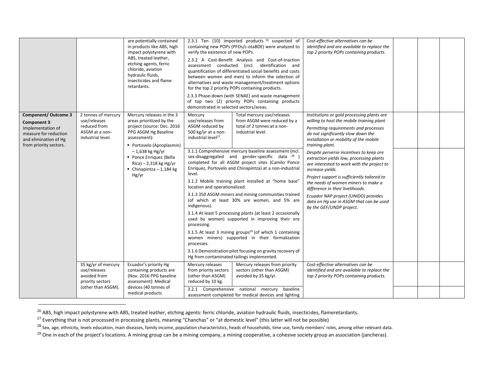|                                                                                                                                              |                                                                                               | are potentially contained<br>in products like ABS, high<br>impact polystyrene with<br>ABS, treated leather,<br>etching agents, ferric<br>chloride, aviation<br>hydraulic fluids,<br>insecticides and flame<br>retardants. | verify the existence of new POPs.<br>demonstrated in selected sectors/areas.                               | 2.3.1 Ten $(10)$ imported products $26$ suspected of<br>containing new POPs (PFOs/c-otaBDE) were analyzed to<br>2.3.2 A Cost-Benefit Analysis and Cost-of-Inaction<br>assessment conducted (incl. identification and<br>quantification of differentiated social benefits and costs<br>between women and men) to inform the selection of<br>alternatives and waste management/treatment options<br>for the top 2 priority POPs containing products.<br>2.3.3 Phase-down (with SENAE) and waste management<br>of top two (2) priority POPs containing products | Cost-effective alternatives can be<br>identified and are available to replace the<br>top 2 priority POPs containing products.                                                                                                               |  |  |
|----------------------------------------------------------------------------------------------------------------------------------------------|-----------------------------------------------------------------------------------------------|---------------------------------------------------------------------------------------------------------------------------------------------------------------------------------------------------------------------------|------------------------------------------------------------------------------------------------------------|--------------------------------------------------------------------------------------------------------------------------------------------------------------------------------------------------------------------------------------------------------------------------------------------------------------------------------------------------------------------------------------------------------------------------------------------------------------------------------------------------------------------------------------------------------------|---------------------------------------------------------------------------------------------------------------------------------------------------------------------------------------------------------------------------------------------|--|--|
| <b>Component/ Outcome 3</b><br>Component 3:<br>Implementation of<br>measure for reduction<br>and elimination of Hg<br>from priority sectors. | 2 tonnes of mercury<br>use/releases<br>reduced from<br>ASGM at a non-<br>industrial level.    | Mercury releases in the 3<br>areas prioritized by the<br>project (source: Dec. 2016<br>PPG ASGM Hg Baseline<br>assessment):<br>■ Portovelo (Aproplasmin)                                                                  | Mercury<br>use/releases from<br>ASGM reduced by<br>500 kg/yr at a non-<br>industrial level <sup>27</sup> . | Total mercury use/releases<br>from ASGM were reduced by a<br>total of 2 tonnes at a non-<br>industrial level.                                                                                                                                                                                                                                                                                                                                                                                                                                                | Institutions or gold processing plants are<br>willing to host the mobile training plant.<br>Permitting requirements and processes<br>do not significantly slow down the<br>installation or mobility of the mobile<br>training plant.        |  |  |
|                                                                                                                                              |                                                                                               | $-1,638$ kg Hg/yr<br>• Ponce Enriquez (Bella<br>$Rica$ ) – 2,318 kg Hg/yr<br>• Chinapintza - 1,184 kg<br>Hg/yr                                                                                                            | level.                                                                                                     | 3.1.1 Comprehensive mercury baseline assessment (incl.<br>sex-disaggregated and gender-specific data <sup>28</sup><br>completed for all ASGM project sites (Camilo Ponce<br>Enríquez, Portovelo and Chinapintza) at a non-industrial<br>3.1.2 Mobile training plant installed at "home base"                                                                                                                                                                                                                                                                 | Despite perverse incentives to keep ore<br>extraction yields low, processing plants<br>are interested to work with the project to<br>increase yields.<br>Project support is sufficiently tailored to<br>the needs of women miners to make a |  |  |
|                                                                                                                                              |                                                                                               |                                                                                                                                                                                                                           | location and operationalized.<br>indigenous).<br>processing.<br>processes.                                 | 3.1.3 350 ASGM miners and mining communities trained<br>(of which at least 30% are women, and 5% are<br>3.1.4 At least 5 processing plants (at least 2 occasionally<br>used by women) supported in improving their ore<br>3.1.5 At least 3 mining groups <sup>29</sup> (of which 1 containing<br>women miners) supported in their formalization<br>3.1.6 Demonstration pilot focusing on gravity recovery of<br>Hg from contaminated tailings implemented.                                                                                                   | difference in their livelihoods.<br>Ecuador NAP project (UNIDO) provides<br>data on Hq use in ASGM that can be used<br>by the GEF/UNDP project.                                                                                             |  |  |
|                                                                                                                                              | 35 kg/yr of mercury<br>use/releases<br>avoided from<br>priority sectors<br>(other than ASGM). | Ecuador's priority Hg<br>containing products are<br>(Nov. 2016 PPG baseline<br>assessment): Medical<br>devices (40 tonnes of<br>medical products                                                                          | Mercury releases<br>from priority sectors<br>(other than ASGM)<br>reduced by 10 kg.                        | Mercury releases from priority<br>sectors (other than ASGM)<br>avoided by 35 kg/yr.<br>3.2.1 Comprehensive national mercury baseline<br>assessment completed for medical devices and lighting                                                                                                                                                                                                                                                                                                                                                                | Cost-effective alternatives can be<br>identified and are available to replace the<br>top 2 priority POPs containing products.                                                                                                               |  |  |

<sup>&</sup>lt;sup>26</sup> ABS, high impact polystyrene with ABS, treated leather, etching agents: ferric chloride, aviation hydraulic fluids, insecticides, flameretardants.

<sup>&</sup>lt;sup>27</sup> Everything that is not processed in processing plants, meaning "Chanchas" or "at domestic level" (this latter will not be possible)

<sup>&</sup>lt;sup>28</sup> Sex, age, ethnicity, levels education, main diseases, family income, population characteristics, heads of households, time use, family members' roles, among other relevant data.

<sup>&</sup>lt;sup>29</sup> One in each of the project's locations. A mining group can be a mining company, a mining cooperative, a cohesive society group an association (jancheras).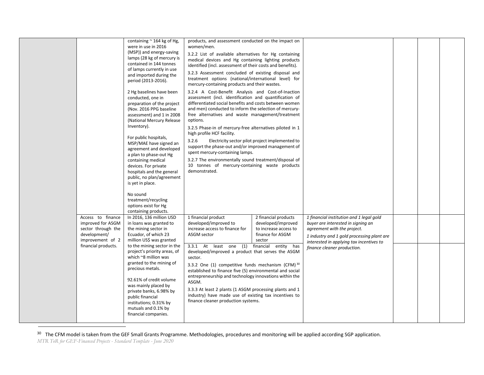|                                                                             | containing $\approx$ 164 kg of Hg,<br>were in use in 2016<br>(MSP)) and energy-saving<br>lamps (28 kg of mercury is<br>contained in 144 tonnes<br>of lamps currently in use<br>and imported during the<br>period (2013-2016).<br>2 Hg baselines have been<br>conducted, one in<br>preparation of the project<br>(Nov. 2016 PPG baseline<br>assessment) and 1 in 2008<br>(National Mercury Release<br>Inventory).<br>For public hospitals,<br>MSP/MAE have signed an<br>agreement and developed<br>a plan to phase-out Hg<br>containing medical<br>devices. For private<br>hospitals and the general<br>public, no plan/agreement<br>is yet in place.<br>No sound<br>treatment/recycling<br>options exist for Hg | products, and assessment conducted on the impact on<br>women/men.<br>3.2.2 List of available alternatives for Hg containing<br>medical devices and Hg containing lighting products<br>identified (incl. assessment of their costs and benefits).<br>3.2.3 Assessment concluded of existing disposal and<br>treatment options (national/international level) for<br>mercury-containing products and their wastes.<br>3.2.4 A Cost-Benefit Analysis and Cost-of-Inaction<br>assessment (incl. identification and quantification of<br>differentiated social benefits and costs between women<br>and men) conducted to inform the selection of mercury-<br>free alternatives and waste management/treatment<br>options.<br>3.2.5 Phase-in of mercury-free alternatives piloted in 1<br>high profile HCF facility.<br>3.2.6<br>support the phase-out and/or improved management of<br>spent mercury-containing lamps.<br>3.2.7 The environmentally sound treatment/disposal of<br>10 tonnes of mercury-containing waste products<br>demonstrated. | Electricity sector pilot project implemented to                           |                                                                                                                                                             |  |  |
|-----------------------------------------------------------------------------|-----------------------------------------------------------------------------------------------------------------------------------------------------------------------------------------------------------------------------------------------------------------------------------------------------------------------------------------------------------------------------------------------------------------------------------------------------------------------------------------------------------------------------------------------------------------------------------------------------------------------------------------------------------------------------------------------------------------|-----------------------------------------------------------------------------------------------------------------------------------------------------------------------------------------------------------------------------------------------------------------------------------------------------------------------------------------------------------------------------------------------------------------------------------------------------------------------------------------------------------------------------------------------------------------------------------------------------------------------------------------------------------------------------------------------------------------------------------------------------------------------------------------------------------------------------------------------------------------------------------------------------------------------------------------------------------------------------------------------------------------------------------------------|---------------------------------------------------------------------------|-------------------------------------------------------------------------------------------------------------------------------------------------------------|--|--|
| Access to finance                                                           | containing products.<br>In 2016, 136 million USD                                                                                                                                                                                                                                                                                                                                                                                                                                                                                                                                                                                                                                                                | 1 financial product                                                                                                                                                                                                                                                                                                                                                                                                                                                                                                                                                                                                                                                                                                                                                                                                                                                                                                                                                                                                                           | 2 financial products                                                      | 1 financial institution and 1 legal gold                                                                                                                    |  |  |
| improved for ASGM<br>sector through the<br>development/<br>improvement of 2 | in loans was granted to<br>the mining sector in<br>Ecuador, of which 23<br>million US\$ was granted                                                                                                                                                                                                                                                                                                                                                                                                                                                                                                                                                                                                             | developed/improved to<br>increase access to finance for<br>ASGM sector                                                                                                                                                                                                                                                                                                                                                                                                                                                                                                                                                                                                                                                                                                                                                                                                                                                                                                                                                                        | developed/improved<br>to increase access to<br>finance for ASGM<br>sector | buyer are interested in signing an<br>agreement with the project.<br>1 industry and 1 gold processing plant are<br>interested in applying tax incentives to |  |  |
| financial products.                                                         | to the mining sector in the<br>project's priority areas, of<br>which ~8 million was<br>granted to the mining of<br>precious metals.<br>92.61% of credit volume<br>was mainly placed by<br>private banks, 6.98% by<br>public financial<br>institutions; 0.31% by<br>mutuals and 0.1% by<br>financial companies.                                                                                                                                                                                                                                                                                                                                                                                                  | 3.3.1 At least one (1)<br>developed/improved a product that serves the ASGM<br>sector.<br>3.3.2 One (1) competitive funds mechanism (CFM) 30<br>established to finance five (5) environmental and social<br>entrepreneurship and technology innovations within the<br>ASGM.<br>3.3.3 At least 2 plants (1 ASGM processing plants and 1<br>industry) have made use of existing tax incentives to<br>finance cleaner production systems.                                                                                                                                                                                                                                                                                                                                                                                                                                                                                                                                                                                                        | financial entity has                                                      | finance cleaner production.                                                                                                                                 |  |  |

<sup>30</sup> The CFM model is taken from the GEF Small Grants Programme. Methodologies, procedures and monitoring will be applied according SGP application.

*MTR ToR for GEF-Financed Projects - Standard Template - June 2020*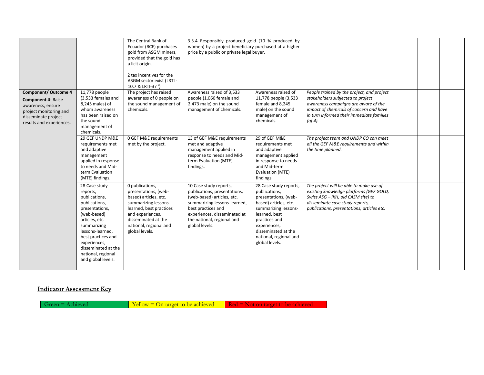|                                                                                                                                                            |                                                                                                                                                                                                                                                            | The Central Bank of<br>Ecuador (BCE) purchases<br>gold from ASGM miners,<br>provided that the gold has<br>a licit origin.<br>2 tax incentives for the<br>ASGM sector exist (LRTI -<br>10.7 & LRTI-37 ').   | 3.3.4 Responsibly produced gold (10 % produced by<br>women) by a project beneficiary purchased at a higher<br>price by a public or private legal buyer.                                                                    |                                                                                                                                                                                                                                       |                                                                                                                                                                                                                                  |  |  |
|------------------------------------------------------------------------------------------------------------------------------------------------------------|------------------------------------------------------------------------------------------------------------------------------------------------------------------------------------------------------------------------------------------------------------|------------------------------------------------------------------------------------------------------------------------------------------------------------------------------------------------------------|----------------------------------------------------------------------------------------------------------------------------------------------------------------------------------------------------------------------------|---------------------------------------------------------------------------------------------------------------------------------------------------------------------------------------------------------------------------------------|----------------------------------------------------------------------------------------------------------------------------------------------------------------------------------------------------------------------------------|--|--|
| <b>Component/ Outcome 4</b><br><b>Component 4: Raise</b><br>awareness, ensure<br>project monitoring and<br>disseminate project<br>results and experiences. | 11,778 people<br>(3,533 females and<br>8,245 males) of<br>whom awareness<br>has been raised on<br>the sound<br>management of<br>chemicals.                                                                                                                 | The project has raised<br>awareness of 0 people on<br>the sound management of<br>chemicals.                                                                                                                | Awareness raised of 3,533<br>people (1,060 female and<br>2,473 male) on the sound<br>management of chemicals.                                                                                                              | Awareness raised of<br>11,778 people (3,533<br>female and 8,245<br>male) on the sound<br>management of<br>chemicals.                                                                                                                  | People trained by the project, and project<br>stakeholders subjected to project<br>awareness campaigns are aware of the<br>impact of chemicals of concern and have<br>in turn informed their immediate families<br>$($ of 4 $).$ |  |  |
|                                                                                                                                                            | 29 GEF UNDP M&E<br>requirements met<br>and adaptive<br>management<br>applied in response<br>to needs and Mid-<br>term Evaluation<br>(MTE) findings.                                                                                                        | 0 GEF M&E requirements<br>met by the project.                                                                                                                                                              | 13 of GEF M&E requirements<br>met and adaptive<br>management applied in<br>response to needs and Mid-<br>term Evaluation (MTE)<br>findings.                                                                                | 29 of GEF M&E<br>requirements met<br>and adaptive<br>management applied<br>in response to needs<br>and Mid-term<br>Evaluation (MTE)<br>findings.                                                                                      | The project team and UNDP CO can meet<br>all the GEF M&E requirements and within<br>the time planned.                                                                                                                            |  |  |
|                                                                                                                                                            | 28 Case study<br>reports,<br>publications,<br>publications,<br>presentations,<br>(web-based)<br>articles, etc.<br>summarizing<br>lessons-learned,<br>best practices and<br>experiences,<br>disseminated at the<br>national, regional<br>and global levels. | 0 publications,<br>presentations, (web-<br>based) articles, etc.<br>summarizing lessons-<br>learned, best practices<br>and experiences,<br>disseminated at the<br>national, regional and<br>global levels. | 10 Case study reports,<br>publications, presentations,<br>(web-based) articles, etc.<br>summarizing lessons-learned,<br>best practices and<br>experiences, disseminated at<br>the national, regional and<br>global levels. | 28 Case study reports,<br>publications,<br>presentations, (web-<br>based) articles, etc.<br>summarizing lessons-<br>learned, best<br>practices and<br>experiences,<br>disseminated at the<br>national, regional and<br>global levels. | The project will be able to make use of<br>existing knowledge platforms (GEF GOLD,<br>Swiss ASG - IKH, old CASM site) to<br>disseminate case study reports,<br>publications, presentations, articles etc.                        |  |  |

### **Indicator Assessment Key**

Green = Achieved  $\overline{Y}$ ellow = On target to be achieved  $\overline{R}$ ed = Not on target to be achieved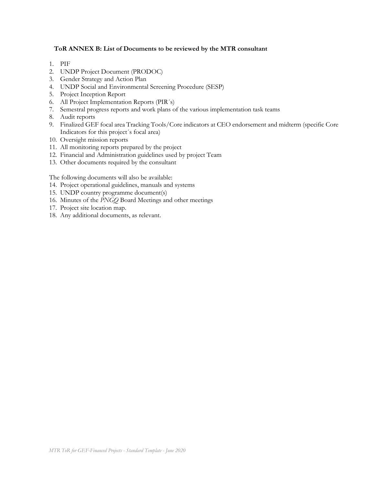### **ToR ANNEX B: List of Documents to be reviewed by the MTR consultant**

- 1. PIF
- 2. UNDP Project Document (PRODOC)
- 3. Gender Strategy and Action Plan
- 4. UNDP Social and Environmental Screening Procedure (SESP)
- 5. Project Inception Report
- 6. All Project Implementation Reports (PIR´s)
- 7. Semestral progress reports and work plans of the various implementation task teams
- 8. Audit reports
- 9. Finalized GEF focal area Tracking Tools/Core indicators at CEO endorsement and midterm (specific Core Indicators for this project´s focal area)
- 10. Oversight mission reports
- 11. All monitoring reports prepared by the project
- 12. Financial and Administration guidelines used by project Team
- 13. Other documents required by the consultant

The following documents will also be available:

- 14. Project operational guidelines, manuals and systems
- 15. UNDP country programme document(s)
- 16. Minutes of the *PNGQ* Board Meetings and other meetings
- 17. Project site location map.
- 18. Any additional documents, as relevant.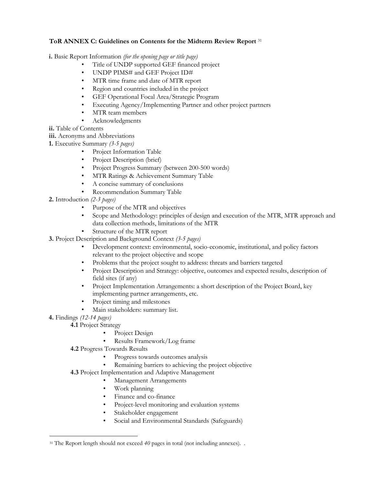### **ToR ANNEX C: Guidelines on Contents for the Midterm Review Report** <sup>31</sup>

- **i.** Basic Report Information *(for the opening page or title page)* 
	- Title of UNDP supported GEF financed project
	- UNDP PIMS# and GEF Project ID#
	- MTR time frame and date of MTR report
	- Region and countries included in the project
	- GEF Operational Focal Area/Strategic Program
	- Executing Agency/Implementing Partner and other project partners
	- MTR team members
	- Acknowledgments
- **ii.** Table of Contents
- **iii.** Acronyms and Abbreviations
- **1.** Executive Summary *(3-5 pages)*
	- Project Information Table
	- Project Description (brief)
	- Project Progress Summary (between 200-500 words)
	- MTR Ratings & Achievement Summary Table
	- A concise summary of conclusions
	- Recommendation Summary Table
- **2.** Introduction *(2-3 pages)*
	- Purpose of the MTR and objectives
	- Scope and Methodology: principles of design and execution of the MTR, MTR approach and data collection methods, limitations of the MTR
	- Structure of the MTR report
- **3.** Project Description and Background Context *(3-5 pages)*
	- Development context: environmental, socio-economic, institutional, and policy factors relevant to the project objective and scope
	- Problems that the project sought to address: threats and barriers targeted
	- Project Description and Strategy: objective, outcomes and expected results, description of field sites (if any)
	- Project Implementation Arrangements: a short description of the Project Board, key implementing partner arrangements, etc.
	- Project timing and milestones
	- Main stakeholders: summary list.
- **4.** Findings *(12-14 pages)*
	- **4.1** Project Strategy
		- Project Design
		- Results Framework/Log frame
	- **4.2** Progress Towards Results
		- Progress towards outcomes analysis
		- Remaining barriers to achieving the project objective
	- **4.3** Project Implementation and Adaptive Management
		- Management Arrangements
		- Work planning
		- Finance and co-finance
		- Project-level monitoring and evaluation systems
		- Stakeholder engagement
		- Social and Environmental Standards (Safeguards)

<sup>&</sup>lt;sup>31</sup> The Report length should not exceed 40 pages in total (not including annexes). .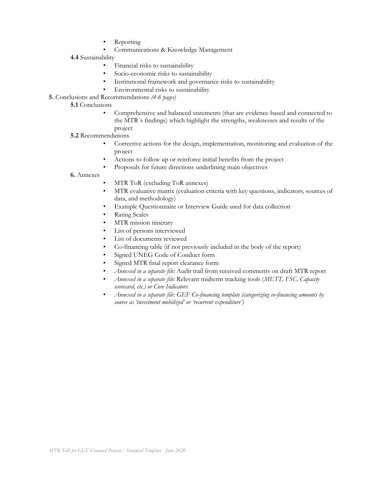- Reporting
- Communications & Knowledge Management
- **4.4** Sustainability
	- Financial risks to sustainability
	- Socio-economic risks to sustainability
	- Institutional framework and governance risks to sustainability
	- Environmental risks to sustainability
- **5.** Conclusions and Recommendations *(4-6 pages)*

### **5.1** Conclusions

- Comprehensive and balanced statements (that are evidence-based and connected to the MTR´s findings) which highlight the strengths, weaknesses and results of the project
- **5.2** Recommendations
	- Corrective actions for the design, implementation, monitoring and evaluation of the project
	- Actions to follow up or reinforce initial benefits from the project
	- Proposals for future directions underlining main objectives
- **6.** Annexes
- MTR ToR (excluding ToR annexes)
- MTR evaluative matrix (evaluation criteria with key questions, indicators, sources of data, and methodology)
- Example Questionnaire or Interview Guide used for data collection
- Rating Scales
- MTR mission itinerary
- List of persons interviewed
- List of documents reviewed
- Co-financing table (if not previously included in the body of the report)
- Signed UNEG Code of Conduct form
- Signed MTR final report clearance form
- *Annexed in a separate file:* Audit trail from received comments on draft MTR report
- *Annexed in a separate file:* Relevant midterm tracking tools (*METT, FSC, Capacity scorecard, etc.) or Core Indicators*
- *Annexed in a separate file: GEF Co-financing template (categorizing co-financing amounts by source as 'investment mobilized' or 'recurrent expenditure')*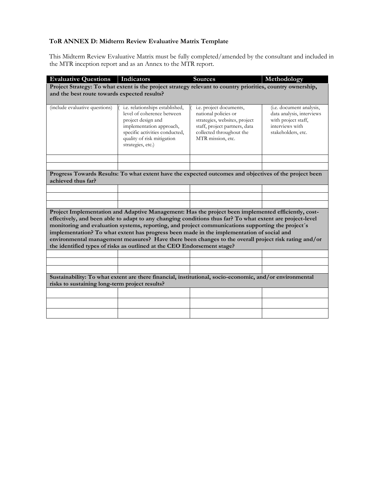### **ToR ANNEX D: Midterm Review Evaluative Matrix Template**

This Midterm Review Evaluative Matrix must be fully completed/amended by the consultant and included in the MTR inception report and as an Annex to the MTR report.

| <b>Evaluative Questions</b>                    | <b>Indicators</b>                                                                                                                                                                                              | <b>Sources</b>                                            | Methodology                                           |
|------------------------------------------------|----------------------------------------------------------------------------------------------------------------------------------------------------------------------------------------------------------------|-----------------------------------------------------------|-------------------------------------------------------|
|                                                | Project Strategy: To what extent is the project strategy relevant to country priorities, country ownership,                                                                                                    |                                                           |                                                       |
| and the best route towards expected results?   |                                                                                                                                                                                                                |                                                           |                                                       |
|                                                |                                                                                                                                                                                                                |                                                           |                                                       |
| (include evaluative questions)                 | i.e. relationships established,<br>level of coherence between                                                                                                                                                  | i.e. project documents,<br>national policies or           | (i.e. document analysis,<br>data analysis, interviews |
|                                                | project design and                                                                                                                                                                                             | strategies, websites, project                             | with project staff,                                   |
|                                                | implementation approach,                                                                                                                                                                                       | staff, project partners, data<br>collected throughout the | interviews with                                       |
|                                                | specific activities conducted,<br>quality of risk mitigation                                                                                                                                                   | MTR mission, etc.                                         | stakeholders, etc.                                    |
|                                                | strategies, etc.)                                                                                                                                                                                              |                                                           |                                                       |
|                                                |                                                                                                                                                                                                                |                                                           |                                                       |
|                                                |                                                                                                                                                                                                                |                                                           |                                                       |
|                                                | Progress Towards Results: To what extent have the expected outcomes and objectives of the project been                                                                                                         |                                                           |                                                       |
| achieved thus far?                             |                                                                                                                                                                                                                |                                                           |                                                       |
|                                                |                                                                                                                                                                                                                |                                                           |                                                       |
|                                                |                                                                                                                                                                                                                |                                                           |                                                       |
|                                                |                                                                                                                                                                                                                |                                                           |                                                       |
|                                                | Project Implementation and Adaptive Management: Has the project been implemented efficiently, cost-                                                                                                            |                                                           |                                                       |
|                                                | effectively, and been able to adapt to any changing conditions thus far? To what extent are project-level<br>monitoring and evaluation systems, reporting, and project communications supporting the project's |                                                           |                                                       |
|                                                | implementation? To what extent has progress been made in the implementation of social and                                                                                                                      |                                                           |                                                       |
|                                                | environmental management measures? Have there been changes to the overall project risk rating and/or                                                                                                           |                                                           |                                                       |
|                                                | the identified types of risks as outlined at the CEO Endorsement stage?                                                                                                                                        |                                                           |                                                       |
|                                                |                                                                                                                                                                                                                |                                                           |                                                       |
|                                                |                                                                                                                                                                                                                |                                                           |                                                       |
|                                                |                                                                                                                                                                                                                |                                                           |                                                       |
|                                                | Sustainability: To what extent are there financial, institutional, socio-economic, and/or environmental                                                                                                        |                                                           |                                                       |
| risks to sustaining long-term project results? |                                                                                                                                                                                                                |                                                           |                                                       |
|                                                |                                                                                                                                                                                                                |                                                           |                                                       |
|                                                |                                                                                                                                                                                                                |                                                           |                                                       |
|                                                |                                                                                                                                                                                                                |                                                           |                                                       |
|                                                |                                                                                                                                                                                                                |                                                           |                                                       |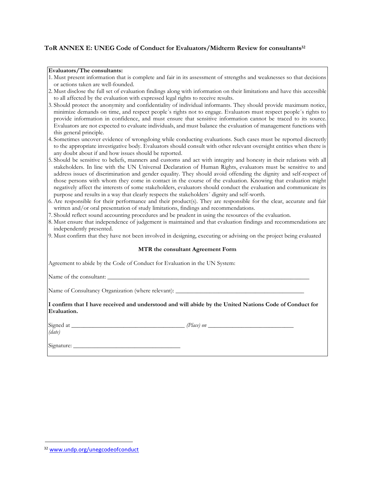### **ToR ANNEX E: UNEG Code of Conduct for Evaluators/Midterm Review for consultants 32**

#### **Evaluators/The consultants:**

| 1. Must present information that is complete and fair in its assessment of strengths and weaknesses so that decisions |  |  |
|-----------------------------------------------------------------------------------------------------------------------|--|--|
| or actions taken are well-founded.                                                                                    |  |  |

- 2. Must disclose the full set of evaluation findings along with information on their limitations and have this accessible to all affected by the evaluation with expressed legal rights to receive results.
- 3. Should protect the anonymity and confidentiality of individual informants. They should provide maximum notice, minimize demands on time, and respect people´s rights not to engage. Evaluators must respect people´s rights to provide information in confidence, and must ensure that sensitive information cannot be traced to its source. Evaluators are not expected to evaluate individuals, and must balance the evaluation of management functions with this general principle.
- 4. Sometimes uncover evidence of wrongdoing while conducting evaluations. Such cases must be reported discreetly to the appropriate investigative body. Evaluators should consult with other relevant oversight entities when there is any doubt about if and how issues should be reported.
- 5. Should be sensitive to beliefs, manners and customs and act with integrity and honesty in their relations with all stakeholders. In line with the UN Universal Declaration of Human Rights, evaluators must be sensitive to and address issues of discrimination and gender equality. They should avoid offending the dignity and self-respect of those persons with whom they come in contact in the course of the evaluation. Knowing that evaluation might negatively affect the interests of some stakeholders, evaluators should conduct the evaluation and communicate its purpose and results in a way that clearly respects the stakeholders´ dignity and self-worth.
- 6. Are responsible for their performance and their product(s). They are responsible for the clear, accurate and fair written and/or oral presentation of study limitations, findings and recommendations.
- 7. Should reflect sound accounting procedures and be prudent in using the resources of the evaluation.
- 8. Must ensure that independence of judgement is maintained and that evaluation findings and recommendations are independently presented.
- 9. Must confirm that they have not been involved in designing, executing or advising on the project being evaluated

#### **MTR the consultant Agreement Form**

Agreement to abide by the Code of Conduct for Evaluation in the UN System:

Name of the consultant:

Name of Consultancy Organization (where relevant):

**I confirm that I have received and understood and will abide by the United Nations Code of Conduct for Evaluation.** 

*(date)* 

Signed at *\_\_\_\_\_\_\_\_\_\_\_\_\_\_\_\_\_\_\_\_\_\_\_\_\_\_\_\_\_\_\_\_\_\_\_\_\_ (Place) on \_\_\_\_\_\_\_\_\_\_\_\_\_\_\_\_\_\_\_\_\_\_\_\_\_\_\_\_* 

Signature: \_\_\_\_\_\_\_\_\_\_\_\_\_\_\_\_\_\_\_\_\_\_\_\_\_\_\_\_\_\_\_\_\_\_\_

<sup>32</sup> [www.undp.org/unegcodeofconduct](http://www.undp.org/unegcodeofconduct)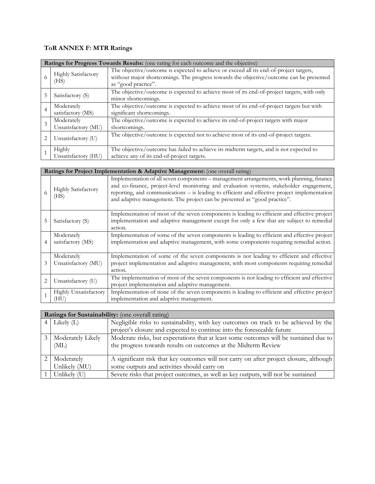# **ToR ANNEX F: MTR Ratings**

|                                                                                                    | Ratings for Progress Towards Results: (one rating for each outcome and the objective) |                                                                                                                                                                                   |  |  |
|----------------------------------------------------------------------------------------------------|---------------------------------------------------------------------------------------|-----------------------------------------------------------------------------------------------------------------------------------------------------------------------------------|--|--|
| Highly Satisfactory<br>(HS)<br>as "good practice".<br>5<br>Satisfactory (S)<br>minor shortcomings. |                                                                                       | The objective/outcome is expected to achieve or exceed all its end-of-project targets,<br>without major shortcomings. The progress towards the objective/outcome can be presented |  |  |
|                                                                                                    |                                                                                       | The objective/outcome is expected to achieve most of its end-of-project targets, with only                                                                                        |  |  |
| $\overline{4}$                                                                                     | Moderately<br>satisfactory (MS)                                                       | The objective/outcome is expected to achieve most of its end-of-project targets but with<br>significant shortcomings.                                                             |  |  |
|                                                                                                    | Moderately<br>Unsatisfactory (MU)                                                     | The objective/outcome is expected to achieve its end-of-project targets with major<br>shortcomings.                                                                               |  |  |
| 2                                                                                                  | Unsatisfactory (U)                                                                    | The objective/outcome is expected not to achieve most of its end-of-project targets.                                                                                              |  |  |
|                                                                                                    | Highly<br>Unsatisfactory (HU)                                                         | The objective/outcome has failed to achieve its midterm targets, and is not expected to<br>achieve any of its end-of-project targets.                                             |  |  |

|   | Ratings for Project Implementation & Adaptive Management: (one overall rating) |                                                                                                                                                                                                                                                                                                                                                                   |  |  |  |
|---|--------------------------------------------------------------------------------|-------------------------------------------------------------------------------------------------------------------------------------------------------------------------------------------------------------------------------------------------------------------------------------------------------------------------------------------------------------------|--|--|--|
|   | <b>Highly Satisfactory</b><br>(HS)                                             | Implementation of all seven components – management arrangements, work planning, finance<br>and co-finance, project-level monitoring and evaluation systems, stakeholder engagement,<br>reporting, and communications – is leading to efficient and effective project implementation<br>and adaptive management. The project can be presented as "good practice". |  |  |  |
| 5 | Satisfactory (S)                                                               | Implementation of most of the seven components is leading to efficient and effective project<br>implementation and adaptive management except for only a few that are subject to remedial<br>action.                                                                                                                                                              |  |  |  |
|   | Moderately<br>satisfactory (MS)                                                | Implementation of some of the seven components is leading to efficient and effective project<br>implementation and adaptive management, with some components requiring remedial action.                                                                                                                                                                           |  |  |  |
| 3 | Moderately<br>Unsatisfactory (MU)                                              | Implementation of some of the seven components is not leading to efficient and effective<br>project implementation and adaptive management, with most components requiring remedial<br>action.                                                                                                                                                                    |  |  |  |
| 2 | Unsatisfactory (U)                                                             | The implementation of most of the seven components is not leading to efficient and effective<br>project implementation and adaptive management.                                                                                                                                                                                                                   |  |  |  |
|   | Highly Unsatisfactory<br>(HU)                                                  | Implementation of none of the seven components is leading to efficient and effective project<br>implementation and adaptive management.                                                                                                                                                                                                                           |  |  |  |

|                | Ratings for Sustainability: (one overall rating) |                                                                                        |  |  |  |
|----------------|--------------------------------------------------|----------------------------------------------------------------------------------------|--|--|--|
|                | $4$ Likely (L)                                   | Negligible risks to sustainability, with key outcomes on track to be achieved by the   |  |  |  |
|                |                                                  | project's closure and expected to continue into the foreseeable future                 |  |  |  |
| $\mathfrak{Z}$ | Moderately Likely                                | Moderate risks, but expectations that at least some outcomes will be sustained due to  |  |  |  |
|                | (ML)                                             | the progress towards results on outcomes at the Midterm Review                         |  |  |  |
|                |                                                  |                                                                                        |  |  |  |
|                | Moderately                                       | A significant risk that key outcomes will not carry on after project closure, although |  |  |  |
|                | Unlikely (MU)                                    | some outputs and activities should carry on                                            |  |  |  |
|                | Unlikely (U)                                     | Severe risks that project outcomes, as well as key outputs, will not be sustained      |  |  |  |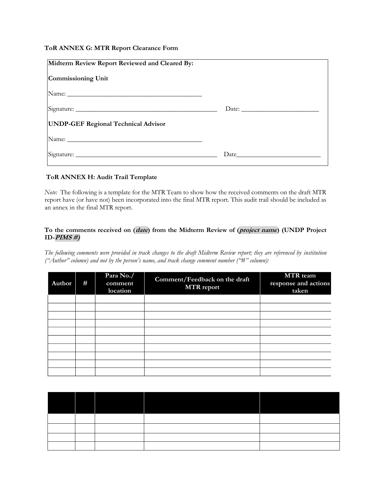### **ToR ANNEX G: MTR Report Clearance Form**

| Midterm Review Report Reviewed and Cleared By:                                                                                                                                                                                 |  |
|--------------------------------------------------------------------------------------------------------------------------------------------------------------------------------------------------------------------------------|--|
| Commissioning Unit                                                                                                                                                                                                             |  |
| Name: Name and the state of the state of the state of the state of the state of the state of the state of the state of the state of the state of the state of the state of the state of the state of the state of the state of |  |
|                                                                                                                                                                                                                                |  |
| <b>UNDP-GEF Regional Technical Advisor</b>                                                                                                                                                                                     |  |
| Name: Name:                                                                                                                                                                                                                    |  |
|                                                                                                                                                                                                                                |  |

### **ToR ANNEX H: Audit Trail Template**

*Note:* The following is a template for the MTR Team to show how the received comments on the draft MTR report have (or have not) been incorporated into the final MTR report. This audit trail should be included as an annex in the final MTR report.

### **To the comments received on (date) from the Midterm Review of (project name) (UNDP Project ID-PIMS #)**

*The following comments were provided in track changes to the draft Midterm Review report; they are referenced by institution ("Author" column) and not by the person's name, and track change comment number ("#" column):*

| Author | # | Para No./<br>comment<br>location | Comment/Feedback on the draft<br><b>MTR</b> report | MTR team<br>response and actions<br>taken |
|--------|---|----------------------------------|----------------------------------------------------|-------------------------------------------|
|        |   |                                  |                                                    |                                           |
|        |   |                                  |                                                    |                                           |
|        |   |                                  |                                                    |                                           |
|        |   |                                  |                                                    |                                           |
|        |   |                                  |                                                    |                                           |
|        |   |                                  |                                                    |                                           |
|        |   |                                  |                                                    |                                           |
|        |   |                                  |                                                    |                                           |
|        |   |                                  |                                                    |                                           |
|        |   |                                  |                                                    |                                           |